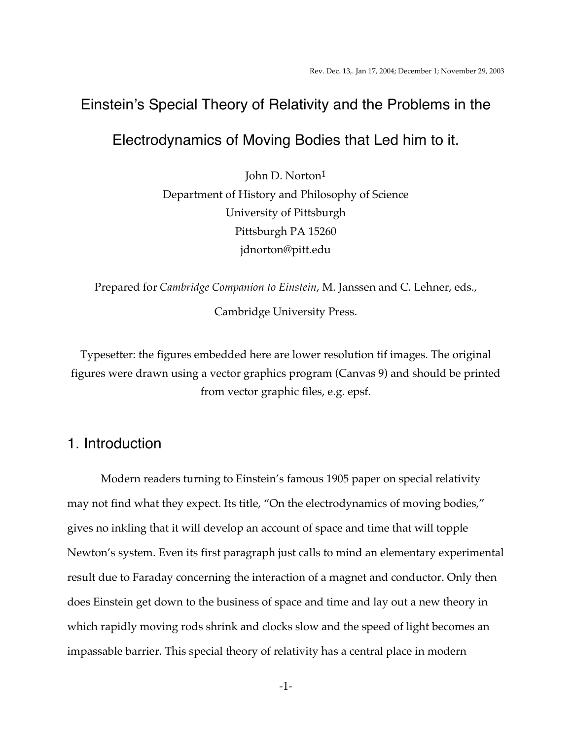# Einstein's Special Theory of Relativity and the Problems in the

# Electrodynamics of Moving Bodies that Led him to it.

John D. Norton1 Department of History and Philosophy of Science University of Pittsburgh Pittsburgh PA 15260 jdnorton@pitt.edu

Prepared for *Cambridge Companion to Einstein*, M. Janssen and C. Lehner, eds., Cambridge University Press.

Typesetter: the figures embedded here are lower resolution tif images. The original figures were drawn using a vector graphics program (Canvas 9) and should be printed from vector graphic files, e.g. epsf.

# 1. Introduction

Modern readers turning to Einstein's famous 1905 paper on special relativity may not find what they expect. Its title, "On the electrodynamics of moving bodies," gives no inkling that it will develop an account of space and time that will topple Newton's system. Even its first paragraph just calls to mind an elementary experimental result due to Faraday concerning the interaction of a magnet and conductor. Only then does Einstein get down to the business of space and time and lay out a new theory in which rapidly moving rods shrink and clocks slow and the speed of light becomes an impassable barrier. This special theory of relativity has a central place in modern

-1-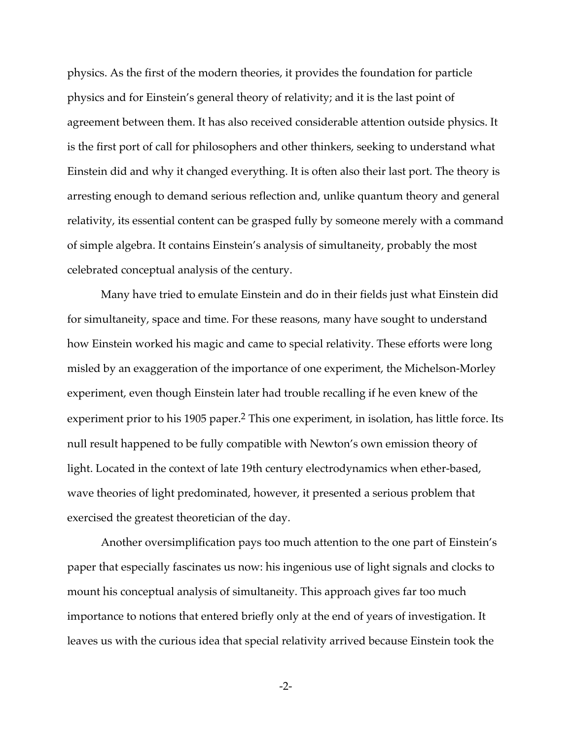physics. As the first of the modern theories, it provides the foundation for particle physics and for Einstein's general theory of relativity; and it is the last point of agreement between them. It has also received considerable attention outside physics. It is the first port of call for philosophers and other thinkers, seeking to understand what Einstein did and why it changed everything. It is often also their last port. The theory is arresting enough to demand serious reflection and, unlike quantum theory and general relativity, its essential content can be grasped fully by someone merely with a command of simple algebra. It contains Einstein's analysis of simultaneity, probably the most celebrated conceptual analysis of the century.

Many have tried to emulate Einstein and do in their fields just what Einstein did for simultaneity, space and time. For these reasons, many have sought to understand how Einstein worked his magic and came to special relativity. These efforts were long misled by an exaggeration of the importance of one experiment, the Michelson-Morley experiment, even though Einstein later had trouble recalling if he even knew of the experiment prior to his 1905 paper.<sup>2</sup> This one experiment, in isolation, has little force. Its null result happened to be fully compatible with Newton's own emission theory of light. Located in the context of late 19th century electrodynamics when ether-based, wave theories of light predominated, however, it presented a serious problem that exercised the greatest theoretician of the day.

Another oversimplification pays too much attention to the one part of Einstein's paper that especially fascinates us now: his ingenious use of light signals and clocks to mount his conceptual analysis of simultaneity. This approach gives far too much importance to notions that entered briefly only at the end of years of investigation. It leaves us with the curious idea that special relativity arrived because Einstein took the

-2-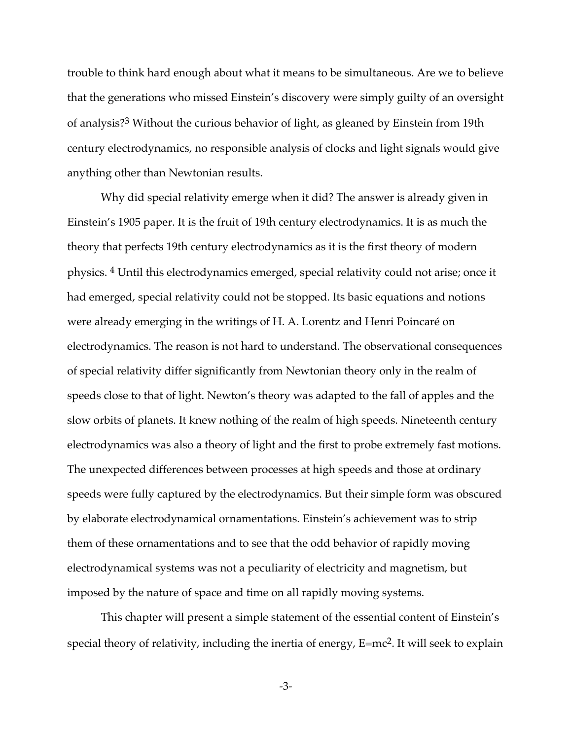trouble to think hard enough about what it means to be simultaneous. Are we to believe that the generations who missed Einstein's discovery were simply guilty of an oversight of analysis?3 Without the curious behavior of light, as gleaned by Einstein from 19th century electrodynamics, no responsible analysis of clocks and light signals would give anything other than Newtonian results.

Why did special relativity emerge when it did? The answer is already given in Einstein's 1905 paper. It is the fruit of 19th century electrodynamics. It is as much the theory that perfects 19th century electrodynamics as it is the first theory of modern physics. 4 Until this electrodynamics emerged, special relativity could not arise; once it had emerged, special relativity could not be stopped. Its basic equations and notions were already emerging in the writings of H. A. Lorentz and Henri Poincaré on electrodynamics. The reason is not hard to understand. The observational consequences of special relativity differ significantly from Newtonian theory only in the realm of speeds close to that of light. Newton's theory was adapted to the fall of apples and the slow orbits of planets. It knew nothing of the realm of high speeds. Nineteenth century electrodynamics was also a theory of light and the first to probe extremely fast motions. The unexpected differences between processes at high speeds and those at ordinary speeds were fully captured by the electrodynamics. But their simple form was obscured by elaborate electrodynamical ornamentations. Einstein's achievement was to strip them of these ornamentations and to see that the odd behavior of rapidly moving electrodynamical systems was not a peculiarity of electricity and magnetism, but imposed by the nature of space and time on all rapidly moving systems.

This chapter will present a simple statement of the essential content of Einstein's special theory of relativity, including the inertia of energy,  $E=mc^2$ . It will seek to explain

-3-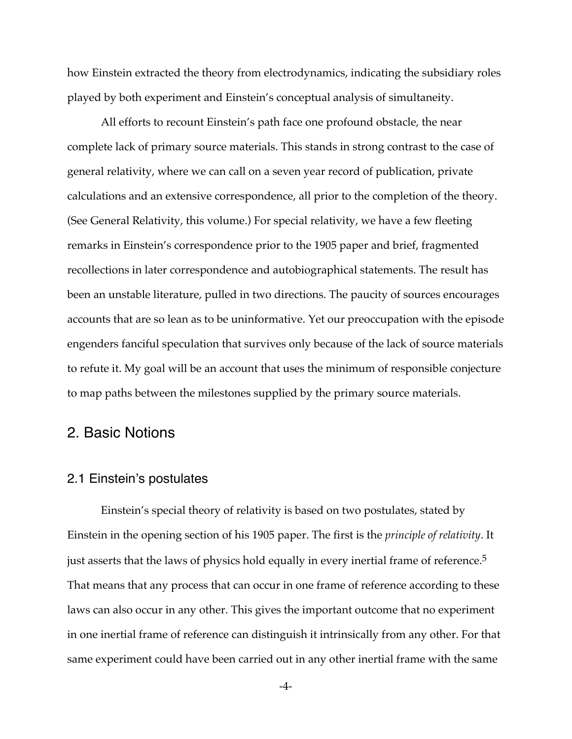how Einstein extracted the theory from electrodynamics, indicating the subsidiary roles played by both experiment and Einstein's conceptual analysis of simultaneity.

All efforts to recount Einstein's path face one profound obstacle, the near complete lack of primary source materials. This stands in strong contrast to the case of general relativity, where we can call on a seven year record of publication, private calculations and an extensive correspondence, all prior to the completion of the theory. (See General Relativity, this volume.) For special relativity, we have a few fleeting remarks in Einstein's correspondence prior to the 1905 paper and brief, fragmented recollections in later correspondence and autobiographical statements. The result has been an unstable literature, pulled in two directions. The paucity of sources encourages accounts that are so lean as to be uninformative. Yet our preoccupation with the episode engenders fanciful speculation that survives only because of the lack of source materials to refute it. My goal will be an account that uses the minimum of responsible conjecture to map paths between the milestones supplied by the primary source materials.

## 2. Basic Notions

#### 2.1 Einstein's postulates

Einstein's special theory of relativity is based on two postulates, stated by Einstein in the opening section of his 1905 paper. The first is the *principle of relativity*. It just asserts that the laws of physics hold equally in every inertial frame of reference.<sup>5</sup> That means that any process that can occur in one frame of reference according to these laws can also occur in any other. This gives the important outcome that no experiment in one inertial frame of reference can distinguish it intrinsically from any other. For that same experiment could have been carried out in any other inertial frame with the same

-4-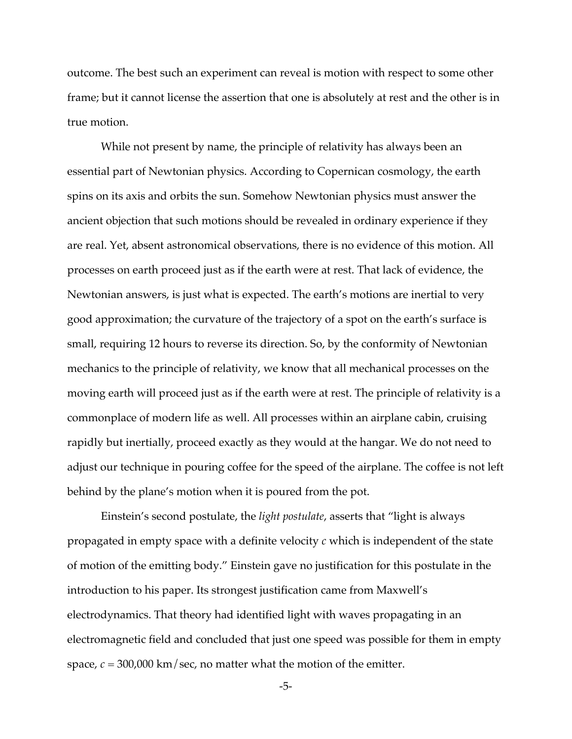outcome. The best such an experiment can reveal is motion with respect to some other frame; but it cannot license the assertion that one is absolutely at rest and the other is in true motion.

While not present by name, the principle of relativity has always been an essential part of Newtonian physics. According to Copernican cosmology, the earth spins on its axis and orbits the sun. Somehow Newtonian physics must answer the ancient objection that such motions should be revealed in ordinary experience if they are real. Yet, absent astronomical observations, there is no evidence of this motion. All processes on earth proceed just as if the earth were at rest. That lack of evidence, the Newtonian answers, is just what is expected. The earth's motions are inertial to very good approximation; the curvature of the trajectory of a spot on the earth's surface is small, requiring 12 hours to reverse its direction. So, by the conformity of Newtonian mechanics to the principle of relativity, we know that all mechanical processes on the moving earth will proceed just as if the earth were at rest. The principle of relativity is a commonplace of modern life as well. All processes within an airplane cabin, cruising rapidly but inertially, proceed exactly as they would at the hangar. We do not need to adjust our technique in pouring coffee for the speed of the airplane. The coffee is not left behind by the plane's motion when it is poured from the pot.

Einstein's second postulate, the *light postulate*, asserts that "light is always propagated in empty space with a definite velocity *c* which is independent of the state of motion of the emitting body." Einstein gave no justification for this postulate in the introduction to his paper. Its strongest justification came from Maxwell's electrodynamics. That theory had identified light with waves propagating in an electromagnetic field and concluded that just one speed was possible for them in empty space,  $c = 300,000$  km/sec, no matter what the motion of the emitter.

-5-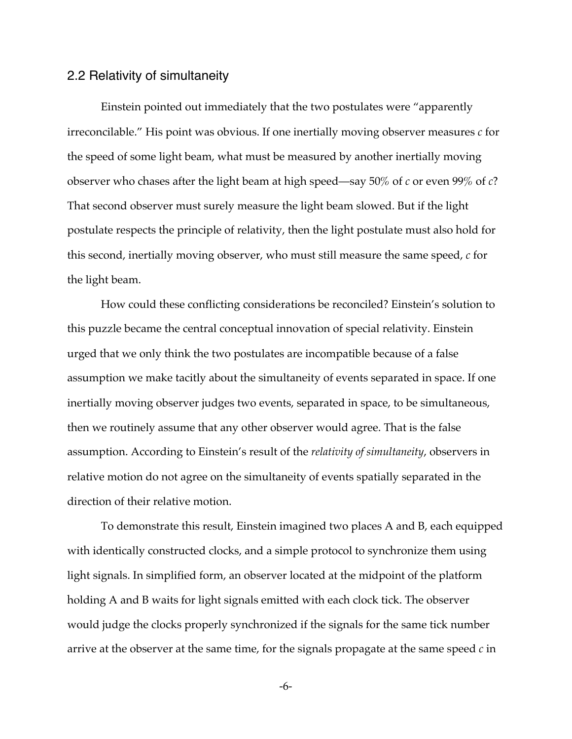#### 2.2 Relativity of simultaneity

Einstein pointed out immediately that the two postulates were "apparently irreconcilable." His point was obvious. If one inertially moving observer measures *c* for the speed of some light beam, what must be measured by another inertially moving observer who chases after the light beam at high speed—say 50% of *c* or even 99% of *c*? That second observer must surely measure the light beam slowed. But if the light postulate respects the principle of relativity, then the light postulate must also hold for this second, inertially moving observer, who must still measure the same speed, *c* for the light beam.

How could these conflicting considerations be reconciled? Einstein's solution to this puzzle became the central conceptual innovation of special relativity. Einstein urged that we only think the two postulates are incompatible because of a false assumption we make tacitly about the simultaneity of events separated in space. If one inertially moving observer judges two events, separated in space, to be simultaneous, then we routinely assume that any other observer would agree. That is the false assumption. According to Einstein's result of the *relativity of simultaneity*, observers in relative motion do not agree on the simultaneity of events spatially separated in the direction of their relative motion.

To demonstrate this result, Einstein imagined two places A and B, each equipped with identically constructed clocks, and a simple protocol to synchronize them using light signals. In simplified form, an observer located at the midpoint of the platform holding A and B waits for light signals emitted with each clock tick. The observer would judge the clocks properly synchronized if the signals for the same tick number arrive at the observer at the same time, for the signals propagate at the same speed *c* in

-6-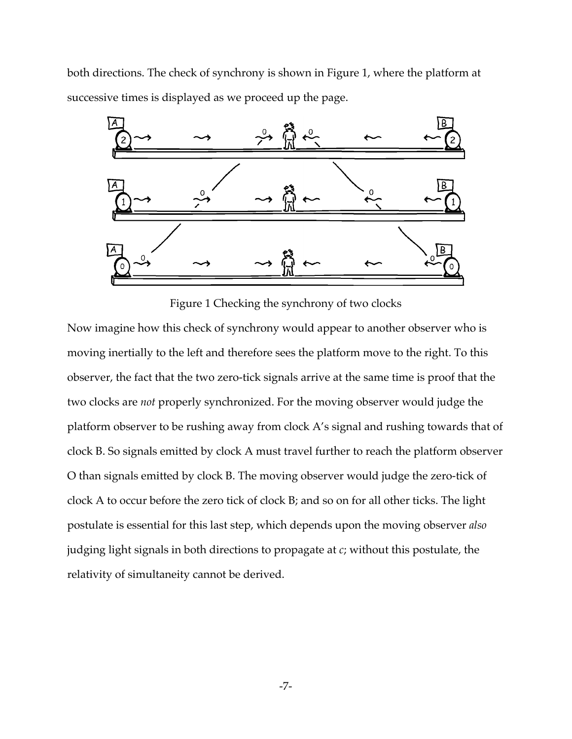both directions. The check of synchrony is shown in Figure 1, where the platform at successive times is displayed as we proceed up the page.



Figure 1 Checking the synchrony of two clocks

Now imagine how this check of synchrony would appear to another observer who is moving inertially to the left and therefore sees the platform move to the right. To this observer, the fact that the two zero-tick signals arrive at the same time is proof that the two clocks are *not* properly synchronized. For the moving observer would judge the platform observer to be rushing away from clock A's signal and rushing towards that of clock B. So signals emitted by clock A must travel further to reach the platform observer O than signals emitted by clock B. The moving observer would judge the zero-tick of clock A to occur before the zero tick of clock B; and so on for all other ticks. The light postulate is essential for this last step, which depends upon the moving observer *also* judging light signals in both directions to propagate at *c*; without this postulate, the relativity of simultaneity cannot be derived.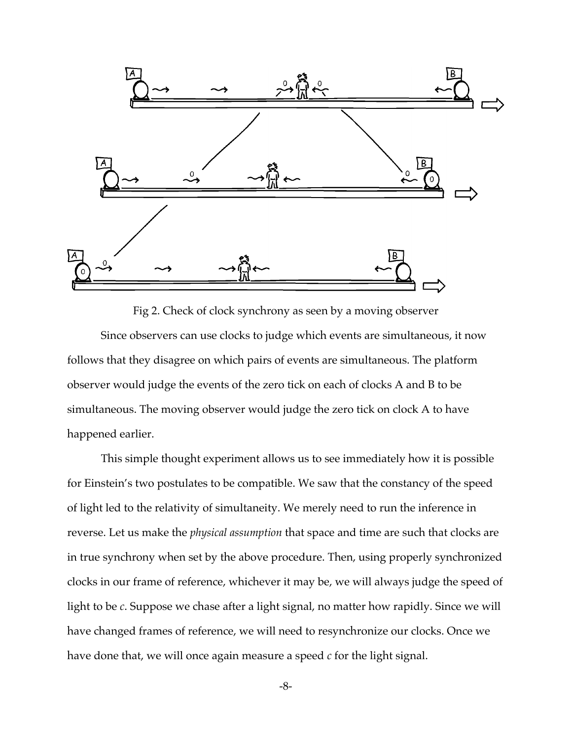

Fig 2. Check of clock synchrony as seen by a moving observer Since observers can use clocks to judge which events are simultaneous, it now follows that they disagree on which pairs of events are simultaneous. The platform observer would judge the events of the zero tick on each of clocks A and B to be simultaneous. The moving observer would judge the zero tick on clock A to have happened earlier.

This simple thought experiment allows us to see immediately how it is possible for Einstein's two postulates to be compatible. We saw that the constancy of the speed of light led to the relativity of simultaneity. We merely need to run the inference in reverse. Let us make the *physical assumption* that space and time are such that clocks are in true synchrony when set by the above procedure. Then, using properly synchronized clocks in our frame of reference, whichever it may be, we will always judge the speed of light to be *c*. Suppose we chase after a light signal, no matter how rapidly. Since we will have changed frames of reference, we will need to resynchronize our clocks. Once we have done that, we will once again measure a speed *c* for the light signal.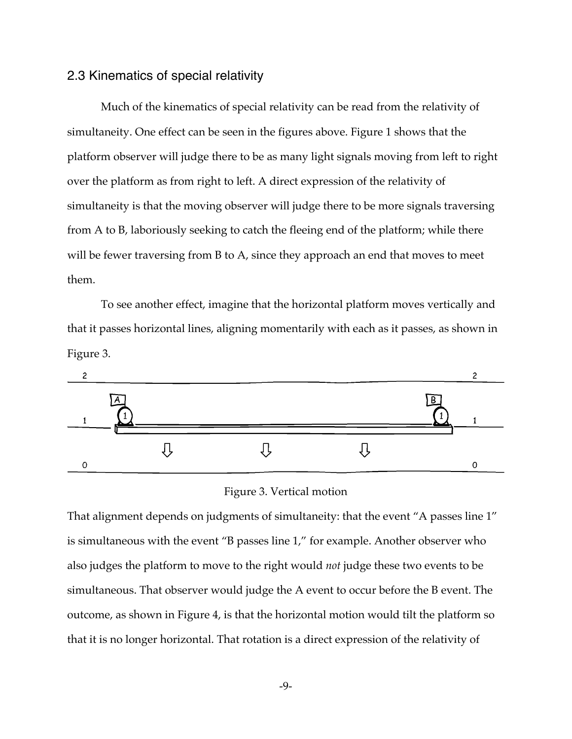#### 2.3 Kinematics of special relativity

Much of the kinematics of special relativity can be read from the relativity of simultaneity. One effect can be seen in the figures above. Figure 1 shows that the platform observer will judge there to be as many light signals moving from left to right over the platform as from right to left. A direct expression of the relativity of simultaneity is that the moving observer will judge there to be more signals traversing from A to B, laboriously seeking to catch the fleeing end of the platform; while there will be fewer traversing from B to A, since they approach an end that moves to meet them.

To see another effect, imagine that the horizontal platform moves vertically and that it passes horizontal lines, aligning momentarily with each as it passes, as shown in Figure 3.





That alignment depends on judgments of simultaneity: that the event "A passes line 1" is simultaneous with the event "B passes line 1," for example. Another observer who also judges the platform to move to the right would *not* judge these two events to be simultaneous. That observer would judge the A event to occur before the B event. The outcome, as shown in Figure 4, is that the horizontal motion would tilt the platform so that it is no longer horizontal. That rotation is a direct expression of the relativity of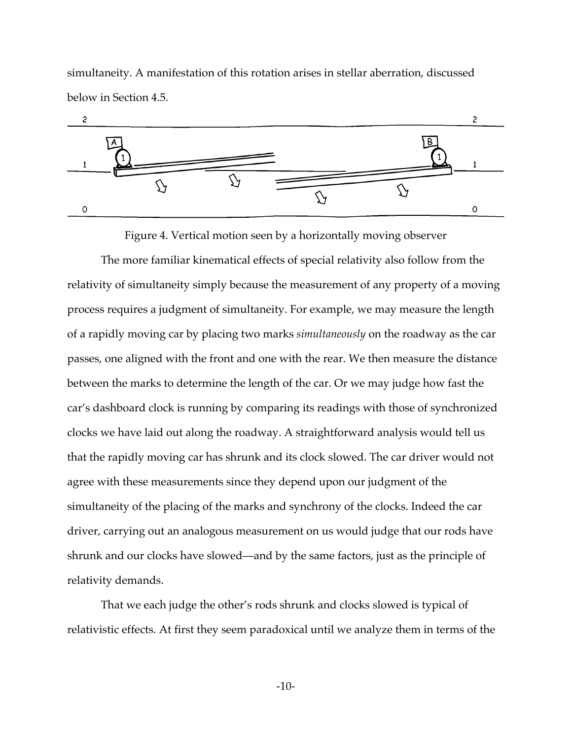

simultaneity. A manifestation of this rotation arises in stellar aberration, discussed below in Section 4.5.

Figure 4. Vertical motion seen by a horizontally moving observer

The more familiar kinematical effects of special relativity also follow from the relativity of simultaneity simply because the measurement of any property of a moving process requires a judgment of simultaneity. For example, we may measure the length of a rapidly moving car by placing two marks *simultaneously* on the roadway as the car passes, one aligned with the front and one with the rear. We then measure the distance between the marks to determine the length of the car. Or we may judge how fast the car's dashboard clock is running by comparing its readings with those of synchronized clocks we have laid out along the roadway. A straightforward analysis would tell us that the rapidly moving car has shrunk and its clock slowed. The car driver would not agree with these measurements since they depend upon our judgment of the simultaneity of the placing of the marks and synchrony of the clocks. Indeed the car driver, carrying out an analogous measurement on us would judge that our rods have shrunk and our clocks have slowed—and by the same factors, just as the principle of relativity demands.

That we each judge the other's rods shrunk and clocks slowed is typical of relativistic effects. At first they seem paradoxical until we analyze them in terms of the

-10-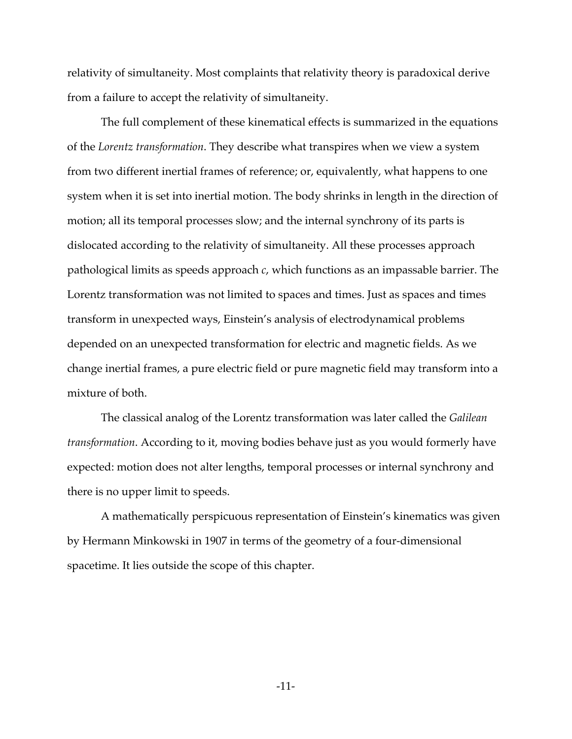relativity of simultaneity. Most complaints that relativity theory is paradoxical derive from a failure to accept the relativity of simultaneity.

The full complement of these kinematical effects is summarized in the equations of the *Lorentz transformation*. They describe what transpires when we view a system from two different inertial frames of reference; or, equivalently, what happens to one system when it is set into inertial motion. The body shrinks in length in the direction of motion; all its temporal processes slow; and the internal synchrony of its parts is dislocated according to the relativity of simultaneity. All these processes approach pathological limits as speeds approach *c*, which functions as an impassable barrier. The Lorentz transformation was not limited to spaces and times. Just as spaces and times transform in unexpected ways, Einstein's analysis of electrodynamical problems depended on an unexpected transformation for electric and magnetic fields. As we change inertial frames, a pure electric field or pure magnetic field may transform into a mixture of both.

The classical analog of the Lorentz transformation was later called the *Galilean transformation*. According to it, moving bodies behave just as you would formerly have expected: motion does not alter lengths, temporal processes or internal synchrony and there is no upper limit to speeds.

A mathematically perspicuous representation of Einstein's kinematics was given by Hermann Minkowski in 1907 in terms of the geometry of a four-dimensional spacetime. It lies outside the scope of this chapter.

-11-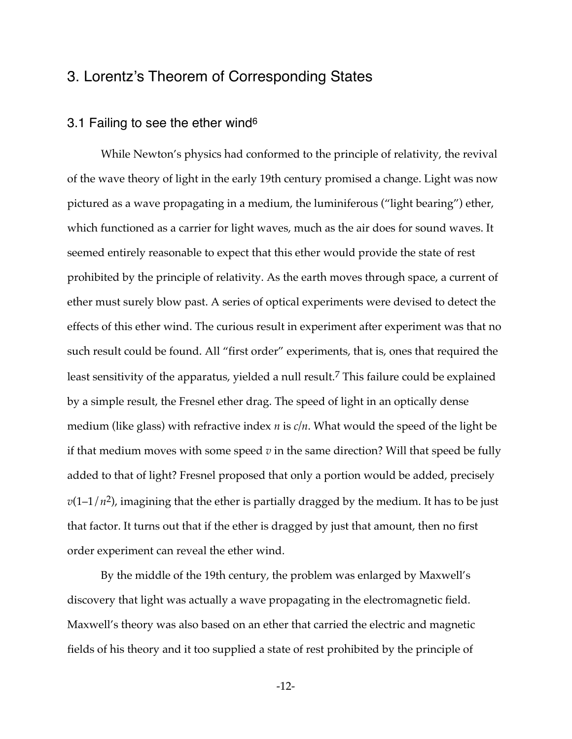## 3. Lorentz's Theorem of Corresponding States

### 3.1 Failing to see the ether wind<sup>6</sup>

While Newton's physics had conformed to the principle of relativity, the revival of the wave theory of light in the early 19th century promised a change. Light was now pictured as a wave propagating in a medium, the luminiferous ("light bearing") ether, which functioned as a carrier for light waves, much as the air does for sound waves. It seemed entirely reasonable to expect that this ether would provide the state of rest prohibited by the principle of relativity. As the earth moves through space, a current of ether must surely blow past. A series of optical experiments were devised to detect the effects of this ether wind. The curious result in experiment after experiment was that no such result could be found. All "first order" experiments, that is, ones that required the least sensitivity of the apparatus, yielded a null result.<sup>7</sup> This failure could be explained by a simple result, the Fresnel ether drag. The speed of light in an optically dense medium (like glass) with refractive index *n* is *c/n*. What would the speed of the light be if that medium moves with some speed *v* in the same direction? Will that speed be fully added to that of light? Fresnel proposed that only a portion would be added, precisely  $v(1-1/n^2)$ , imagining that the ether is partially dragged by the medium. It has to be just that factor. It turns out that if the ether is dragged by just that amount, then no first order experiment can reveal the ether wind.

By the middle of the 19th century, the problem was enlarged by Maxwell's discovery that light was actually a wave propagating in the electromagnetic field. Maxwell's theory was also based on an ether that carried the electric and magnetic fields of his theory and it too supplied a state of rest prohibited by the principle of

-12-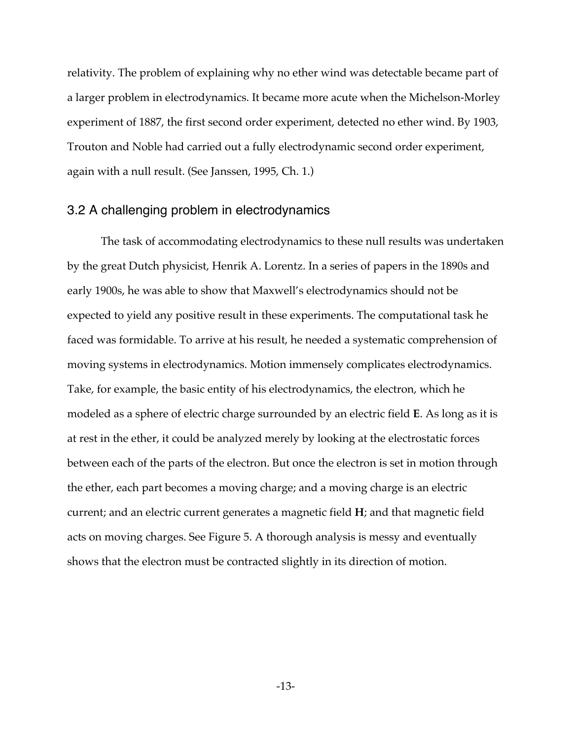relativity. The problem of explaining why no ether wind was detectable became part of a larger problem in electrodynamics. It became more acute when the Michelson-Morley experiment of 1887, the first second order experiment, detected no ether wind. By 1903, Trouton and Noble had carried out a fully electrodynamic second order experiment, again with a null result. (See Janssen, 1995, Ch. 1.)

#### 3.2 A challenging problem in electrodynamics

The task of accommodating electrodynamics to these null results was undertaken by the great Dutch physicist, Henrik A. Lorentz. In a series of papers in the 1890s and early 1900s, he was able to show that Maxwell's electrodynamics should not be expected to yield any positive result in these experiments. The computational task he faced was formidable. To arrive at his result, he needed a systematic comprehension of moving systems in electrodynamics. Motion immensely complicates electrodynamics. Take, for example, the basic entity of his electrodynamics, the electron, which he modeled as a sphere of electric charge surrounded by an electric field **E**. As long as it is at rest in the ether, it could be analyzed merely by looking at the electrostatic forces between each of the parts of the electron. But once the electron is set in motion through the ether, each part becomes a moving charge; and a moving charge is an electric current; and an electric current generates a magnetic field **H**; and that magnetic field acts on moving charges. See Figure 5. A thorough analysis is messy and eventually shows that the electron must be contracted slightly in its direction of motion.

-13-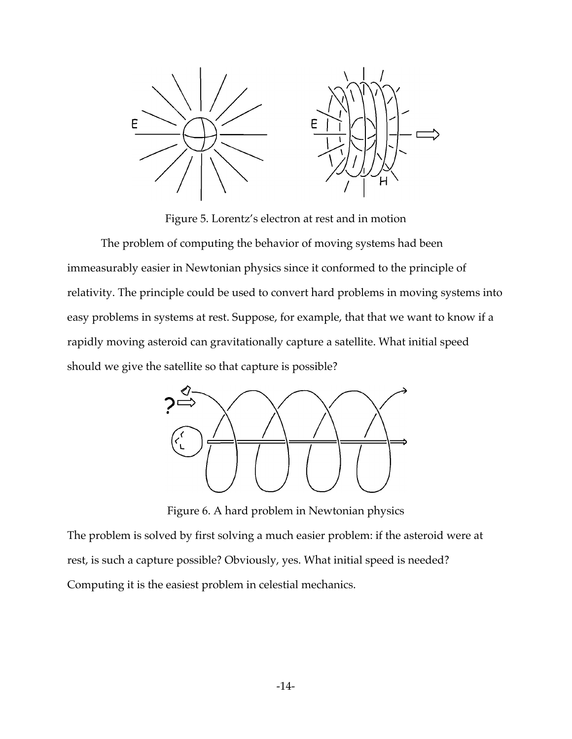

Figure 5. Lorentz's electron at rest and in motion

The problem of computing the behavior of moving systems had been immeasurably easier in Newtonian physics since it conformed to the principle of relativity. The principle could be used to convert hard problems in moving systems into easy problems in systems at rest. Suppose, for example, that that we want to know if a rapidly moving asteroid can gravitationally capture a satellite. What initial speed should we give the satellite so that capture is possible?



Figure 6. A hard problem in Newtonian physics

The problem is solved by first solving a much easier problem: if the asteroid were at rest, is such a capture possible? Obviously, yes. What initial speed is needed? Computing it is the easiest problem in celestial mechanics.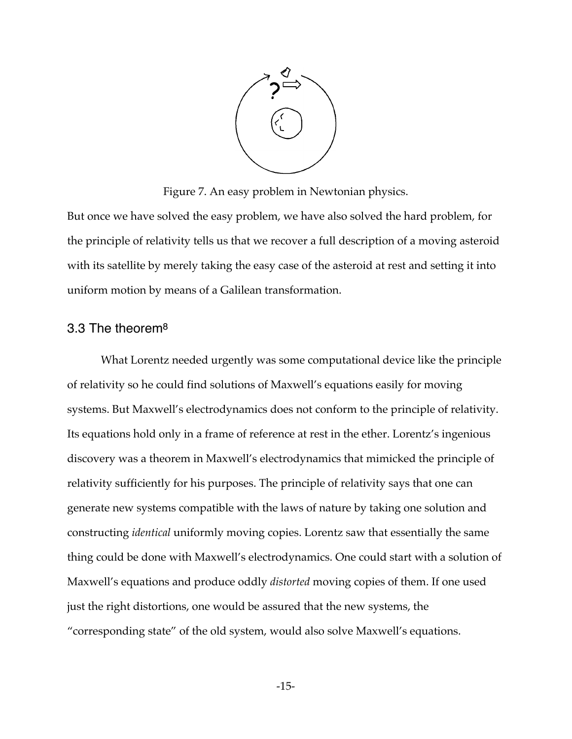

Figure 7. An easy problem in Newtonian physics.

But once we have solved the easy problem, we have also solved the hard problem, for the principle of relativity tells us that we recover a full description of a moving asteroid with its satellite by merely taking the easy case of the asteroid at rest and setting it into uniform motion by means of a Galilean transformation.

### 3.3 The theorem8

What Lorentz needed urgently was some computational device like the principle of relativity so he could find solutions of Maxwell's equations easily for moving systems. But Maxwell's electrodynamics does not conform to the principle of relativity. Its equations hold only in a frame of reference at rest in the ether. Lorentz's ingenious discovery was a theorem in Maxwell's electrodynamics that mimicked the principle of relativity sufficiently for his purposes. The principle of relativity says that one can generate new systems compatible with the laws of nature by taking one solution and constructing *identical* uniformly moving copies. Lorentz saw that essentially the same thing could be done with Maxwell's electrodynamics. One could start with a solution of Maxwell's equations and produce oddly *distorted* moving copies of them. If one used just the right distortions, one would be assured that the new systems, the "corresponding state" of the old system, would also solve Maxwell's equations.

-15-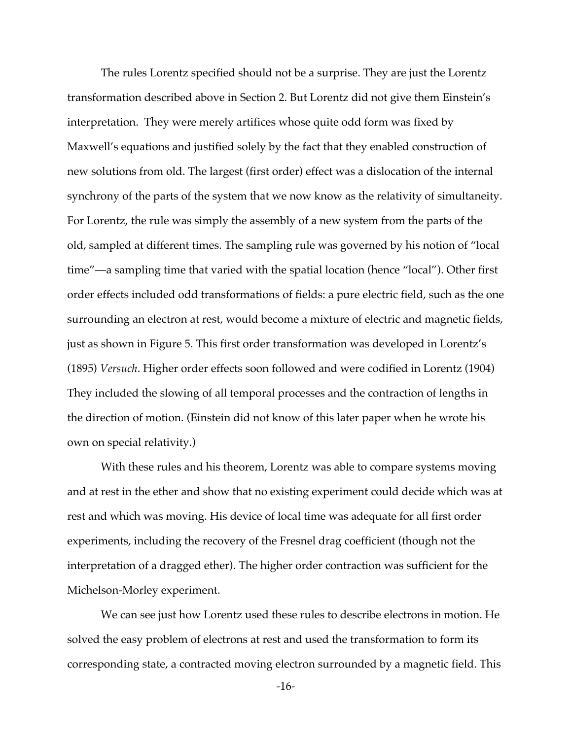The rules Lorentz specified should not be a surprise. They are just the Lorentz transformation described above in Section 2. But Lorentz did not give them Einstein's interpretation. They were merely artifices whose quite odd form was fixed by Maxwell's equations and justified solely by the fact that they enabled construction of new solutions from old. The largest (first order) effect was a dislocation of the internal synchrony of the parts of the system that we now know as the relativity of simultaneity. For Lorentz, the rule was simply the assembly of a new system from the parts of the old, sampled at different times. The sampling rule was governed by his notion of "local time"—a sampling time that varied with the spatial location (hence "local"). Other first order effects included odd transformations of fields: a pure electric field, such as the one surrounding an electron at rest, would become a mixture of electric and magnetic fields, just as shown in Figure 5. This first order transformation was developed in Lorentz's (1895) *Versuch*. Higher order effects soon followed and were codified in Lorentz (1904) They included the slowing of all temporal processes and the contraction of lengths in the direction of motion. (Einstein did not know of this later paper when he wrote his own on special relativity.)

With these rules and his theorem, Lorentz was able to compare systems moving and at rest in the ether and show that no existing experiment could decide which was at rest and which was moving. His device of local time was adequate for all first order experiments, including the recovery of the Fresnel drag coefficient (though not the interpretation of a dragged ether). The higher order contraction was sufficient for the Michelson-Morley experiment.

We can see just how Lorentz used these rules to describe electrons in motion. He solved the easy problem of electrons at rest and used the transformation to form its corresponding state, a contracted moving electron surrounded by a magnetic field. This

-16-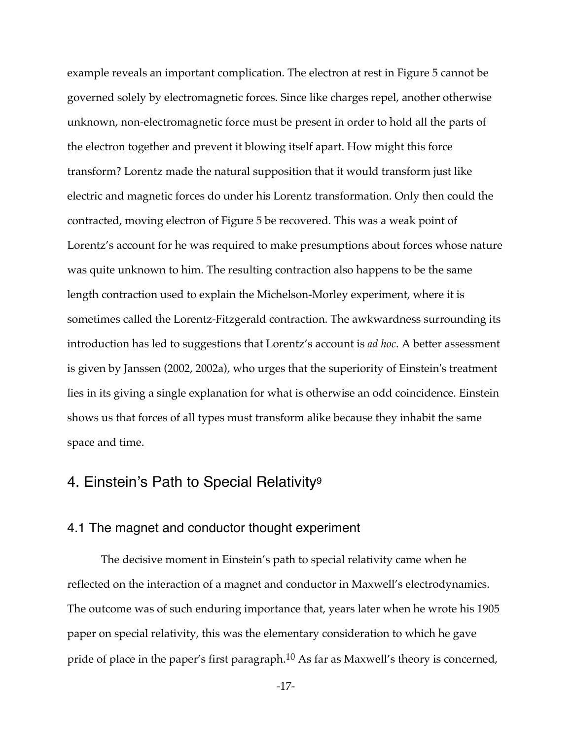example reveals an important complication. The electron at rest in Figure 5 cannot be governed solely by electromagnetic forces. Since like charges repel, another otherwise unknown, non-electromagnetic force must be present in order to hold all the parts of the electron together and prevent it blowing itself apart. How might this force transform? Lorentz made the natural supposition that it would transform just like electric and magnetic forces do under his Lorentz transformation. Only then could the contracted, moving electron of Figure 5 be recovered. This was a weak point of Lorentz's account for he was required to make presumptions about forces whose nature was quite unknown to him. The resulting contraction also happens to be the same length contraction used to explain the Michelson-Morley experiment, where it is sometimes called the Lorentz-Fitzgerald contraction. The awkwardness surrounding its introduction has led to suggestions that Lorentz's account is *ad hoc*. A better assessment is given by Janssen (2002, 2002a), who urges that the superiority of Einstein's treatment lies in its giving a single explanation for what is otherwise an odd coincidence. Einstein shows us that forces of all types must transform alike because they inhabit the same space and time.

## 4. Einstein's Path to Special Relativity9

## 4.1 The magnet and conductor thought experiment

The decisive moment in Einstein's path to special relativity came when he reflected on the interaction of a magnet and conductor in Maxwell's electrodynamics. The outcome was of such enduring importance that, years later when he wrote his 1905 paper on special relativity, this was the elementary consideration to which he gave pride of place in the paper's first paragraph.10 As far as Maxwell's theory is concerned,

-17-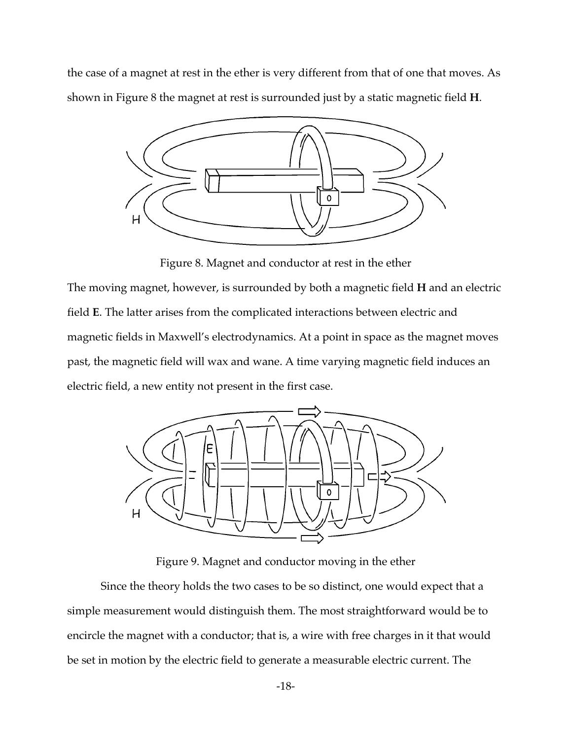the case of a magnet at rest in the ether is very different from that of one that moves. As shown in Figure 8 the magnet at rest is surrounded just by a static magnetic field **H**.



Figure 8. Magnet and conductor at rest in the ether

The moving magnet, however, is surrounded by both a magnetic field **H** and an electric field **E**. The latter arises from the complicated interactions between electric and magnetic fields in Maxwell's electrodynamics. At a point in space as the magnet moves past, the magnetic field will wax and wane. A time varying magnetic field induces an electric field, a new entity not present in the first case.



Figure 9. Magnet and conductor moving in the ether

Since the theory holds the two cases to be so distinct, one would expect that a simple measurement would distinguish them. The most straightforward would be to encircle the magnet with a conductor; that is, a wire with free charges in it that would be set in motion by the electric field to generate a measurable electric current. The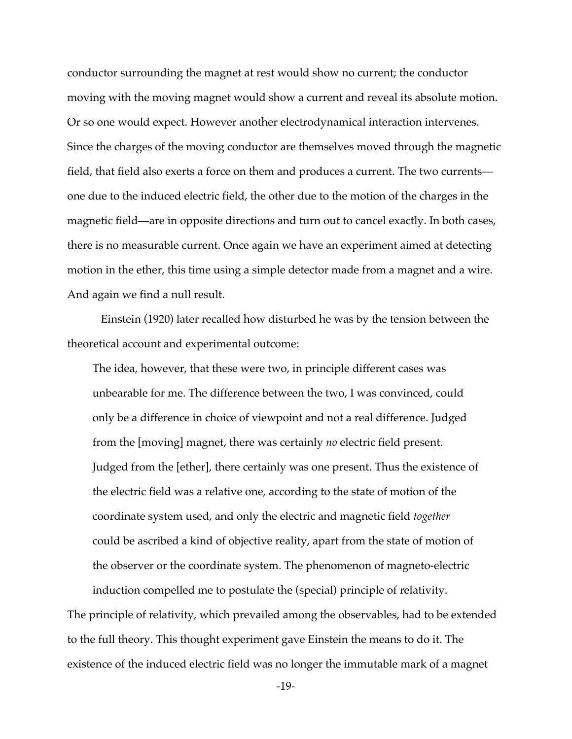conductor surrounding the magnet at rest would show no current; the conductor moving with the moving magnet would show a current and reveal its absolute motion. Or so one would expect. However another electrodynamical interaction intervenes. Since the charges of the moving conductor are themselves moved through the magnetic field, that field also exerts a force on them and produces a current. The two currents one due to the induced electric field, the other due to the motion of the charges in the magnetic field—are in opposite directions and turn out to cancel exactly. In both cases, there is no measurable current. Once again we have an experiment aimed at detecting motion in the ether, this time using a simple detector made from a magnet and a wire. And again we find a null result.

Einstein (1920) later recalled how disturbed he was by the tension between the theoretical account and experimental outcome:

The idea, however, that these were two, in principle different cases was unbearable for me. The difference between the two, I was convinced, could only be a difference in choice of viewpoint and not a real difference. Judged from the [moving] magnet, there was certainly *no* electric field present. Judged from the [ether], there certainly was one present. Thus the existence of the electric field was a relative one, according to the state of motion of the coordinate system used, and only the electric and magnetic field *together* could be ascribed a kind of objective reality, apart from the state of motion of the observer or the coordinate system. The phenomenon of magneto-electric

induction compelled me to postulate the (special) principle of relativity. The principle of relativity, which prevailed among the observables, had to be extended to the full theory. This thought experiment gave Einstein the means to do it. The existence of the induced electric field was no longer the immutable mark of a magnet

-19-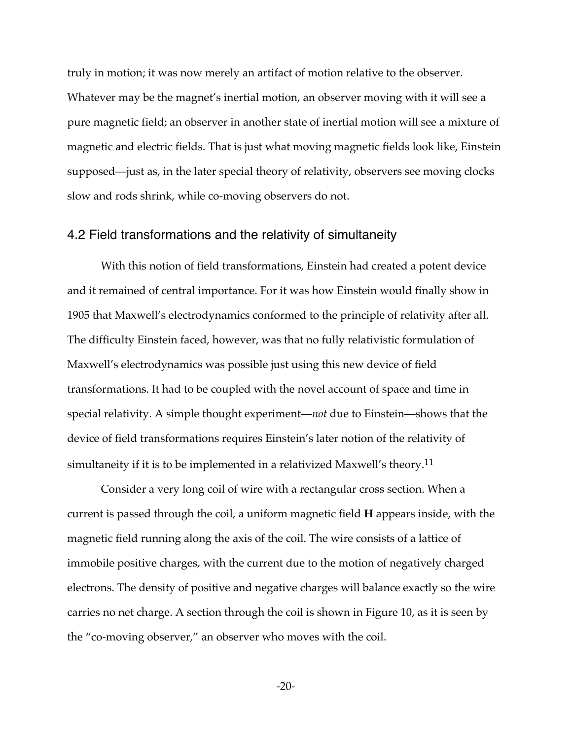truly in motion; it was now merely an artifact of motion relative to the observer. Whatever may be the magnet's inertial motion, an observer moving with it will see a pure magnetic field; an observer in another state of inertial motion will see a mixture of magnetic and electric fields. That is just what moving magnetic fields look like, Einstein supposed—just as, in the later special theory of relativity, observers see moving clocks slow and rods shrink, while co-moving observers do not.

#### 4.2 Field transformations and the relativity of simultaneity

With this notion of field transformations, Einstein had created a potent device and it remained of central importance. For it was how Einstein would finally show in 1905 that Maxwell's electrodynamics conformed to the principle of relativity after all. The difficulty Einstein faced, however, was that no fully relativistic formulation of Maxwell's electrodynamics was possible just using this new device of field transformations. It had to be coupled with the novel account of space and time in special relativity. A simple thought experiment—*not* due to Einstein—shows that the device of field transformations requires Einstein's later notion of the relativity of simultaneity if it is to be implemented in a relativized Maxwell's theory.<sup>11</sup>

Consider a very long coil of wire with a rectangular cross section. When a current is passed through the coil, a uniform magnetic field **H** appears inside, with the magnetic field running along the axis of the coil. The wire consists of a lattice of immobile positive charges, with the current due to the motion of negatively charged electrons. The density of positive and negative charges will balance exactly so the wire carries no net charge. A section through the coil is shown in Figure 10, as it is seen by the "co-moving observer," an observer who moves with the coil.

-20-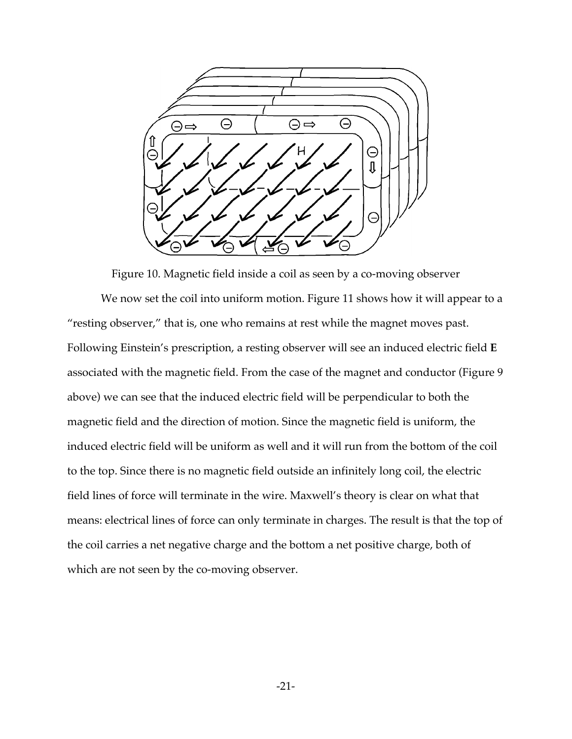

Figure 10. Magnetic field inside a coil as seen by a co-moving observer We now set the coil into uniform motion. Figure 11 shows how it will appear to a "resting observer," that is, one who remains at rest while the magnet moves past. Following Einstein's prescription, a resting observer will see an induced electric field **E**  associated with the magnetic field. From the case of the magnet and conductor (Figure 9 above) we can see that the induced electric field will be perpendicular to both the magnetic field and the direction of motion. Since the magnetic field is uniform, the induced electric field will be uniform as well and it will run from the bottom of the coil to the top. Since there is no magnetic field outside an infinitely long coil, the electric field lines of force will terminate in the wire. Maxwell's theory is clear on what that means: electrical lines of force can only terminate in charges. The result is that the top of the coil carries a net negative charge and the bottom a net positive charge, both of which are not seen by the co-moving observer.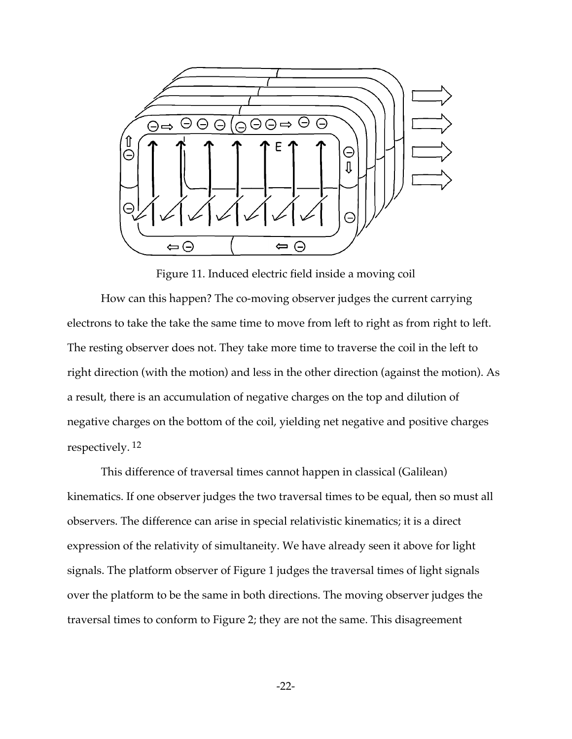

Figure 11. Induced electric field inside a moving coil

How can this happen? The co-moving observer judges the current carrying electrons to take the take the same time to move from left to right as from right to left. The resting observer does not. They take more time to traverse the coil in the left to right direction (with the motion) and less in the other direction (against the motion). As a result, there is an accumulation of negative charges on the top and dilution of negative charges on the bottom of the coil, yielding net negative and positive charges respectively. 12

This difference of traversal times cannot happen in classical (Galilean) kinematics. If one observer judges the two traversal times to be equal, then so must all observers. The difference can arise in special relativistic kinematics; it is a direct expression of the relativity of simultaneity. We have already seen it above for light signals. The platform observer of Figure 1 judges the traversal times of light signals over the platform to be the same in both directions. The moving observer judges the traversal times to conform to Figure 2; they are not the same. This disagreement

-22-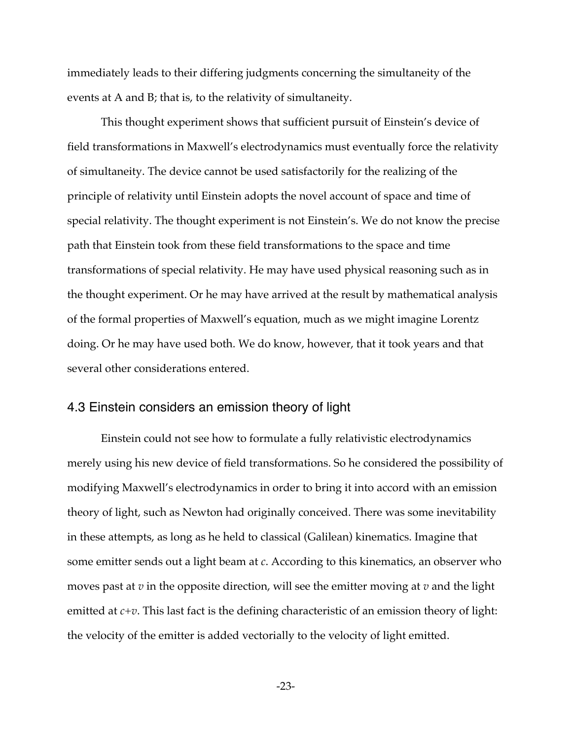immediately leads to their differing judgments concerning the simultaneity of the events at A and B; that is, to the relativity of simultaneity.

This thought experiment shows that sufficient pursuit of Einstein's device of field transformations in Maxwell's electrodynamics must eventually force the relativity of simultaneity. The device cannot be used satisfactorily for the realizing of the principle of relativity until Einstein adopts the novel account of space and time of special relativity. The thought experiment is not Einstein's. We do not know the precise path that Einstein took from these field transformations to the space and time transformations of special relativity. He may have used physical reasoning such as in the thought experiment. Or he may have arrived at the result by mathematical analysis of the formal properties of Maxwell's equation, much as we might imagine Lorentz doing. Or he may have used both. We do know, however, that it took years and that several other considerations entered.

### 4.3 Einstein considers an emission theory of light

Einstein could not see how to formulate a fully relativistic electrodynamics merely using his new device of field transformations. So he considered the possibility of modifying Maxwell's electrodynamics in order to bring it into accord with an emission theory of light, such as Newton had originally conceived. There was some inevitability in these attempts, as long as he held to classical (Galilean) kinematics. Imagine that some emitter sends out a light beam at *c*. According to this kinematics, an observer who moves past at *v* in the opposite direction, will see the emitter moving at *v* and the light emitted at *c*+*v*. This last fact is the defining characteristic of an emission theory of light: the velocity of the emitter is added vectorially to the velocity of light emitted.

-23-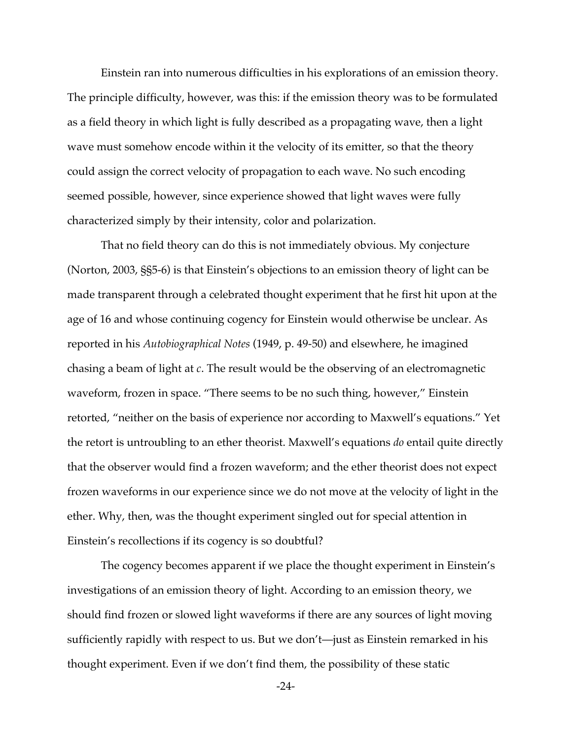Einstein ran into numerous difficulties in his explorations of an emission theory. The principle difficulty, however, was this: if the emission theory was to be formulated as a field theory in which light is fully described as a propagating wave, then a light wave must somehow encode within it the velocity of its emitter, so that the theory could assign the correct velocity of propagation to each wave. No such encoding seemed possible, however, since experience showed that light waves were fully characterized simply by their intensity, color and polarization.

That no field theory can do this is not immediately obvious. My conjecture (Norton, 2003, §§5-6) is that Einstein's objections to an emission theory of light can be made transparent through a celebrated thought experiment that he first hit upon at the age of 16 and whose continuing cogency for Einstein would otherwise be unclear. As reported in his *Autobiographical Notes* (1949, p. 49-50) and elsewhere, he imagined chasing a beam of light at *c*. The result would be the observing of an electromagnetic waveform, frozen in space. "There seems to be no such thing, however," Einstein retorted, "neither on the basis of experience nor according to Maxwell's equations." Yet the retort is untroubling to an ether theorist. Maxwell's equations *do* entail quite directly that the observer would find a frozen waveform; and the ether theorist does not expect frozen waveforms in our experience since we do not move at the velocity of light in the ether. Why, then, was the thought experiment singled out for special attention in Einstein's recollections if its cogency is so doubtful?

The cogency becomes apparent if we place the thought experiment in Einstein's investigations of an emission theory of light. According to an emission theory, we should find frozen or slowed light waveforms if there are any sources of light moving sufficiently rapidly with respect to us. But we don't—just as Einstein remarked in his thought experiment. Even if we don't find them, the possibility of these static

-24-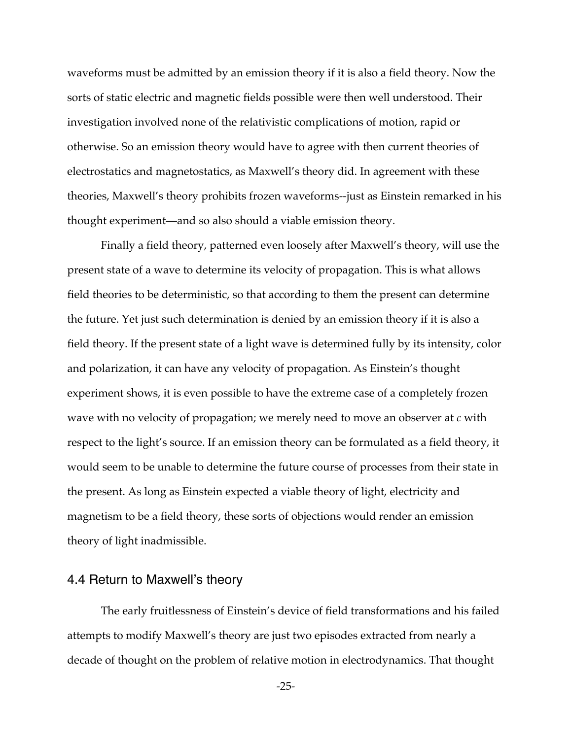waveforms must be admitted by an emission theory if it is also a field theory. Now the sorts of static electric and magnetic fields possible were then well understood. Their investigation involved none of the relativistic complications of motion, rapid or otherwise. So an emission theory would have to agree with then current theories of electrostatics and magnetostatics, as Maxwell's theory did. In agreement with these theories, Maxwell's theory prohibits frozen waveforms--just as Einstein remarked in his thought experiment—and so also should a viable emission theory.

Finally a field theory, patterned even loosely after Maxwell's theory, will use the present state of a wave to determine its velocity of propagation. This is what allows field theories to be deterministic, so that according to them the present can determine the future. Yet just such determination is denied by an emission theory if it is also a field theory. If the present state of a light wave is determined fully by its intensity, color and polarization, it can have any velocity of propagation. As Einstein's thought experiment shows, it is even possible to have the extreme case of a completely frozen wave with no velocity of propagation; we merely need to move an observer at *c* with respect to the light's source. If an emission theory can be formulated as a field theory, it would seem to be unable to determine the future course of processes from their state in the present. As long as Einstein expected a viable theory of light, electricity and magnetism to be a field theory, these sorts of objections would render an emission theory of light inadmissible.

### 4.4 Return to Maxwell's theory

The early fruitlessness of Einstein's device of field transformations and his failed attempts to modify Maxwell's theory are just two episodes extracted from nearly a decade of thought on the problem of relative motion in electrodynamics. That thought

-25-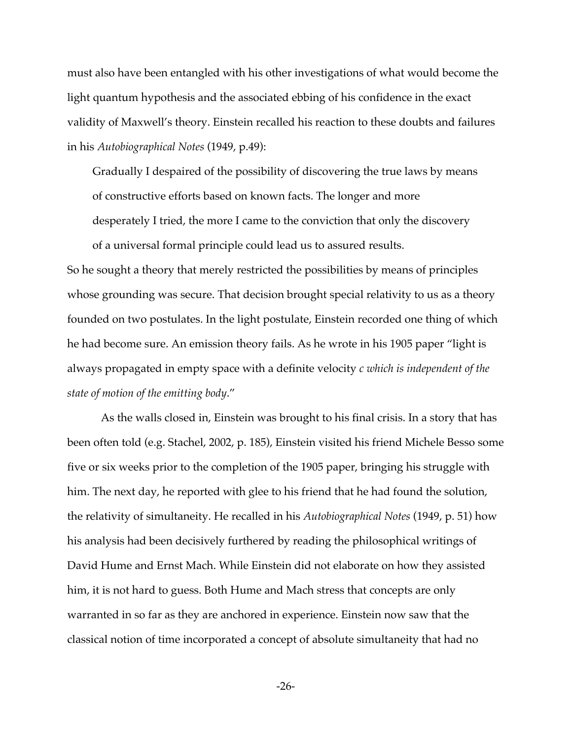must also have been entangled with his other investigations of what would become the light quantum hypothesis and the associated ebbing of his confidence in the exact validity of Maxwell's theory. Einstein recalled his reaction to these doubts and failures in his *Autobiographical Notes* (1949, p.49):

Gradually I despaired of the possibility of discovering the true laws by means of constructive efforts based on known facts. The longer and more desperately I tried, the more I came to the conviction that only the discovery

of a universal formal principle could lead us to assured results. So he sought a theory that merely restricted the possibilities by means of principles whose grounding was secure. That decision brought special relativity to us as a theory founded on two postulates. In the light postulate, Einstein recorded one thing of which he had become sure. An emission theory fails. As he wrote in his 1905 paper "light is always propagated in empty space with a definite velocity *c which is independent of the state of motion of the emitting body*."

As the walls closed in, Einstein was brought to his final crisis. In a story that has been often told (e.g. Stachel, 2002, p. 185), Einstein visited his friend Michele Besso some five or six weeks prior to the completion of the 1905 paper, bringing his struggle with him. The next day, he reported with glee to his friend that he had found the solution, the relativity of simultaneity. He recalled in his *Autobiographical Notes* (1949, p. 51) how his analysis had been decisively furthered by reading the philosophical writings of David Hume and Ernst Mach. While Einstein did not elaborate on how they assisted him, it is not hard to guess. Both Hume and Mach stress that concepts are only warranted in so far as they are anchored in experience. Einstein now saw that the classical notion of time incorporated a concept of absolute simultaneity that had no

-26-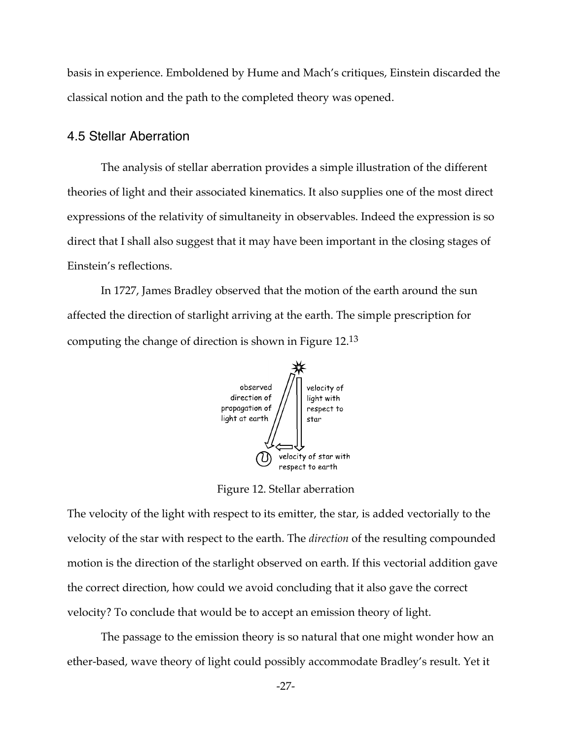basis in experience. Emboldened by Hume and Mach's critiques, Einstein discarded the classical notion and the path to the completed theory was opened.

## 4.5 Stellar Aberration

The analysis of stellar aberration provides a simple illustration of the different theories of light and their associated kinematics. It also supplies one of the most direct expressions of the relativity of simultaneity in observables. Indeed the expression is so direct that I shall also suggest that it may have been important in the closing stages of Einstein's reflections.

In 1727, James Bradley observed that the motion of the earth around the sun affected the direction of starlight arriving at the earth. The simple prescription for computing the change of direction is shown in Figure 12.13



Figure 12. Stellar aberration

The velocity of the light with respect to its emitter, the star, is added vectorially to the velocity of the star with respect to the earth. The *direction* of the resulting compounded motion is the direction of the starlight observed on earth. If this vectorial addition gave the correct direction, how could we avoid concluding that it also gave the correct velocity? To conclude that would be to accept an emission theory of light.

The passage to the emission theory is so natural that one might wonder how an ether-based, wave theory of light could possibly accommodate Bradley's result. Yet it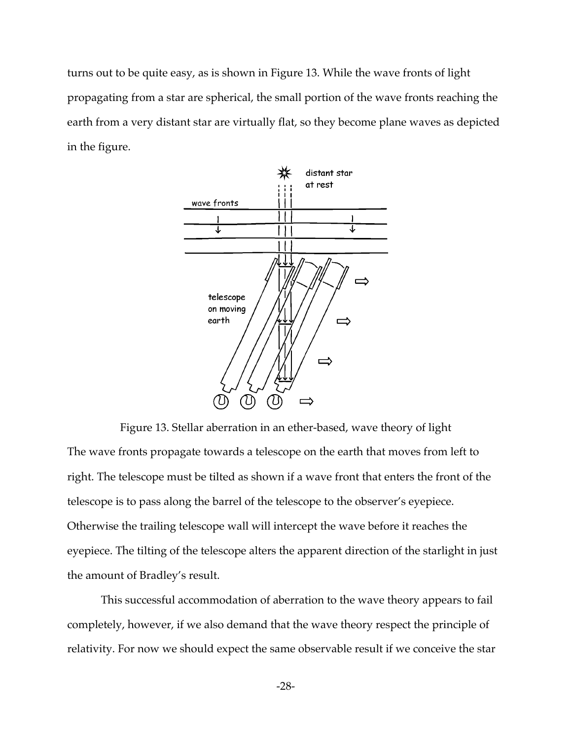turns out to be quite easy, as is shown in Figure 13. While the wave fronts of light propagating from a star are spherical, the small portion of the wave fronts reaching the earth from a very distant star are virtually flat, so they become plane waves as depicted in the figure.



Figure 13. Stellar aberration in an ether-based, wave theory of light The wave fronts propagate towards a telescope on the earth that moves from left to right. The telescope must be tilted as shown if a wave front that enters the front of the telescope is to pass along the barrel of the telescope to the observer's eyepiece. Otherwise the trailing telescope wall will intercept the wave before it reaches the eyepiece. The tilting of the telescope alters the apparent direction of the starlight in just the amount of Bradley's result.

This successful accommodation of aberration to the wave theory appears to fail completely, however, if we also demand that the wave theory respect the principle of relativity. For now we should expect the same observable result if we conceive the star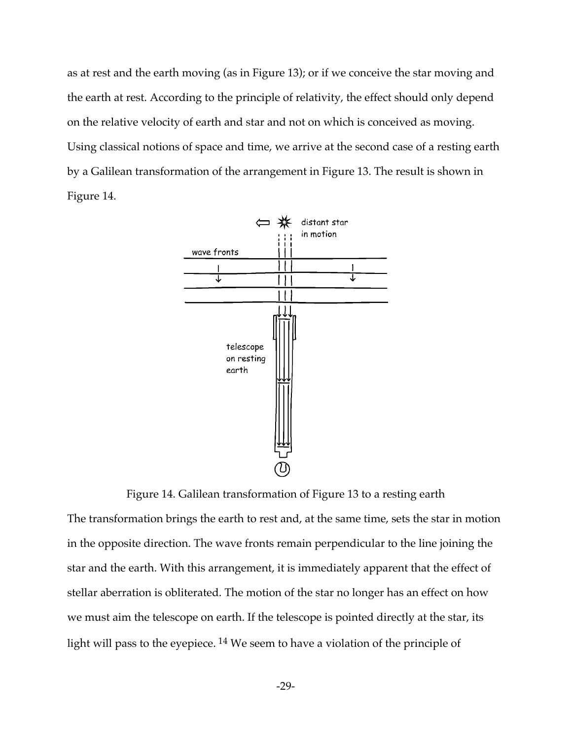as at rest and the earth moving (as in Figure 13); or if we conceive the star moving and the earth at rest. According to the principle of relativity, the effect should only depend on the relative velocity of earth and star and not on which is conceived as moving. Using classical notions of space and time, we arrive at the second case of a resting earth by a Galilean transformation of the arrangement in Figure 13. The result is shown in Figure 14.



Figure 14. Galilean transformation of Figure 13 to a resting earth The transformation brings the earth to rest and, at the same time, sets the star in motion in the opposite direction. The wave fronts remain perpendicular to the line joining the star and the earth. With this arrangement, it is immediately apparent that the effect of stellar aberration is obliterated. The motion of the star no longer has an effect on how we must aim the telescope on earth. If the telescope is pointed directly at the star, its light will pass to the eyepiece. 14 We seem to have a violation of the principle of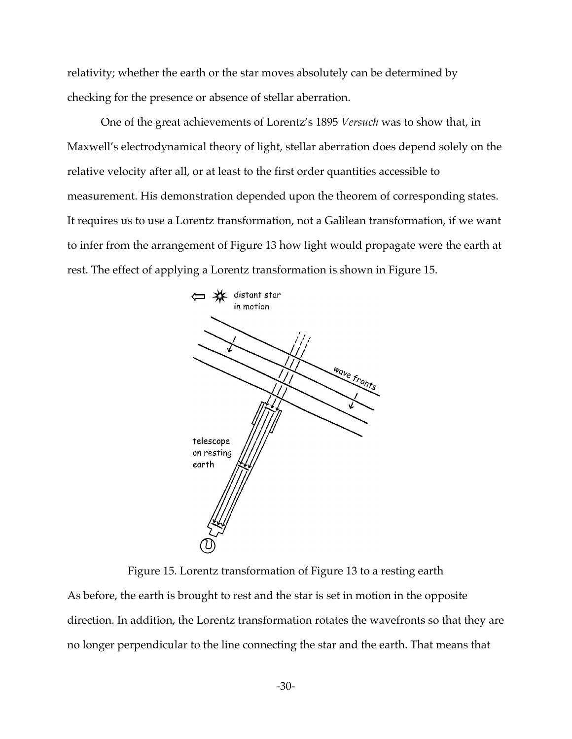relativity; whether the earth or the star moves absolutely can be determined by checking for the presence or absence of stellar aberration.

One of the great achievements of Lorentz's 1895 *Versuch* was to show that, in Maxwell's electrodynamical theory of light, stellar aberration does depend solely on the relative velocity after all, or at least to the first order quantities accessible to measurement. His demonstration depended upon the theorem of corresponding states. It requires us to use a Lorentz transformation, not a Galilean transformation, if we want to infer from the arrangement of Figure 13 how light would propagate were the earth at rest. The effect of applying a Lorentz transformation is shown in Figure 15.



Figure 15. Lorentz transformation of Figure 13 to a resting earth

As before, the earth is brought to rest and the star is set in motion in the opposite direction. In addition, the Lorentz transformation rotates the wavefronts so that they are no longer perpendicular to the line connecting the star and the earth. That means that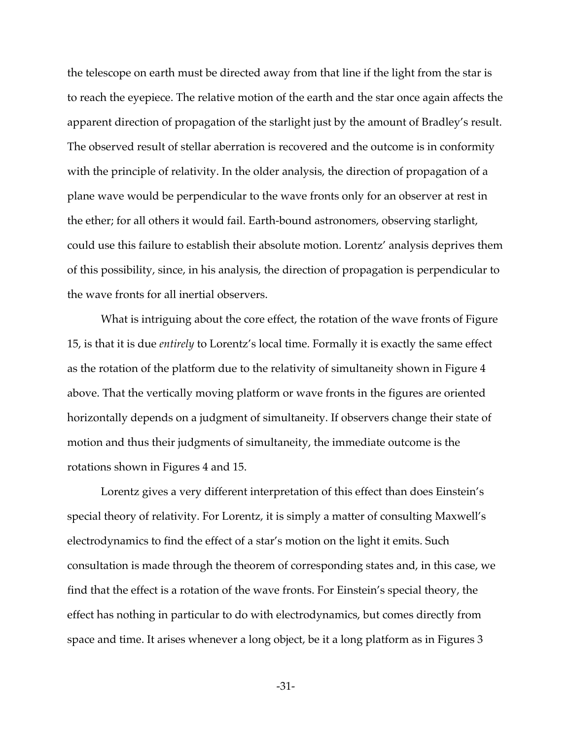the telescope on earth must be directed away from that line if the light from the star is to reach the eyepiece. The relative motion of the earth and the star once again affects the apparent direction of propagation of the starlight just by the amount of Bradley's result. The observed result of stellar aberration is recovered and the outcome is in conformity with the principle of relativity. In the older analysis, the direction of propagation of a plane wave would be perpendicular to the wave fronts only for an observer at rest in the ether; for all others it would fail. Earth-bound astronomers, observing starlight, could use this failure to establish their absolute motion. Lorentz' analysis deprives them of this possibility, since, in his analysis, the direction of propagation is perpendicular to the wave fronts for all inertial observers.

What is intriguing about the core effect, the rotation of the wave fronts of Figure 15, is that it is due *entirely* to Lorentz's local time. Formally it is exactly the same effect as the rotation of the platform due to the relativity of simultaneity shown in Figure 4 above. That the vertically moving platform or wave fronts in the figures are oriented horizontally depends on a judgment of simultaneity. If observers change their state of motion and thus their judgments of simultaneity, the immediate outcome is the rotations shown in Figures 4 and 15.

Lorentz gives a very different interpretation of this effect than does Einstein's special theory of relativity. For Lorentz, it is simply a matter of consulting Maxwell's electrodynamics to find the effect of a star's motion on the light it emits. Such consultation is made through the theorem of corresponding states and, in this case, we find that the effect is a rotation of the wave fronts. For Einstein's special theory, the effect has nothing in particular to do with electrodynamics, but comes directly from space and time. It arises whenever a long object, be it a long platform as in Figures 3

-31-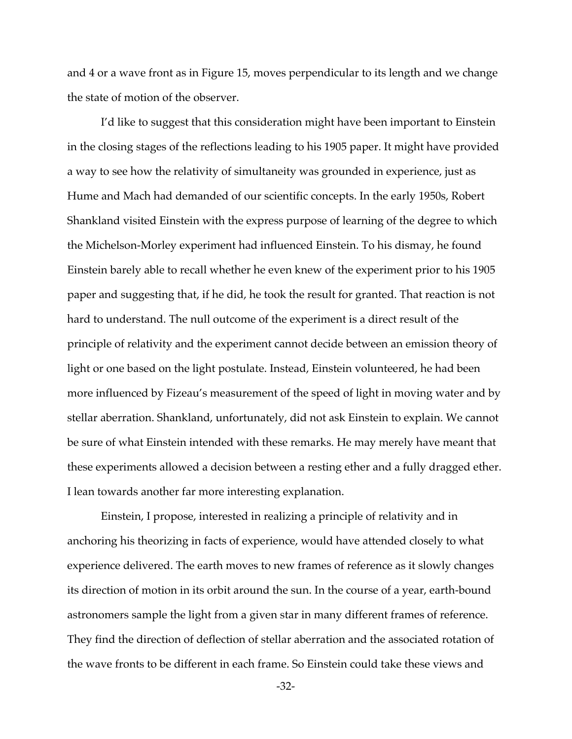and 4 or a wave front as in Figure 15, moves perpendicular to its length and we change the state of motion of the observer.

I'd like to suggest that this consideration might have been important to Einstein in the closing stages of the reflections leading to his 1905 paper. It might have provided a way to see how the relativity of simultaneity was grounded in experience, just as Hume and Mach had demanded of our scientific concepts. In the early 1950s, Robert Shankland visited Einstein with the express purpose of learning of the degree to which the Michelson-Morley experiment had influenced Einstein. To his dismay, he found Einstein barely able to recall whether he even knew of the experiment prior to his 1905 paper and suggesting that, if he did, he took the result for granted. That reaction is not hard to understand. The null outcome of the experiment is a direct result of the principle of relativity and the experiment cannot decide between an emission theory of light or one based on the light postulate. Instead, Einstein volunteered, he had been more influenced by Fizeau's measurement of the speed of light in moving water and by stellar aberration. Shankland, unfortunately, did not ask Einstein to explain. We cannot be sure of what Einstein intended with these remarks. He may merely have meant that these experiments allowed a decision between a resting ether and a fully dragged ether. I lean towards another far more interesting explanation.

Einstein, I propose, interested in realizing a principle of relativity and in anchoring his theorizing in facts of experience, would have attended closely to what experience delivered. The earth moves to new frames of reference as it slowly changes its direction of motion in its orbit around the sun. In the course of a year, earth-bound astronomers sample the light from a given star in many different frames of reference. They find the direction of deflection of stellar aberration and the associated rotation of the wave fronts to be different in each frame. So Einstein could take these views and

-32-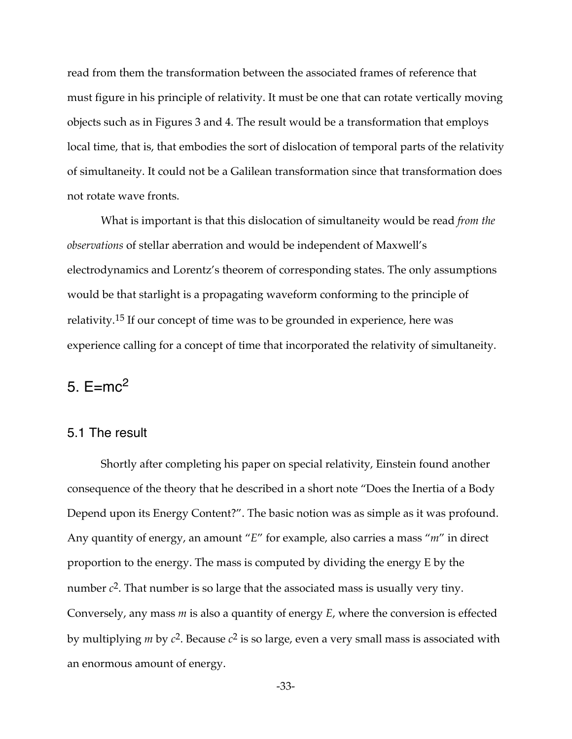read from them the transformation between the associated frames of reference that must figure in his principle of relativity. It must be one that can rotate vertically moving objects such as in Figures 3 and 4. The result would be a transformation that employs local time, that is, that embodies the sort of dislocation of temporal parts of the relativity of simultaneity. It could not be a Galilean transformation since that transformation does not rotate wave fronts.

What is important is that this dislocation of simultaneity would be read *from the observations* of stellar aberration and would be independent of Maxwell's electrodynamics and Lorentz's theorem of corresponding states. The only assumptions would be that starlight is a propagating waveform conforming to the principle of relativity.15 If our concept of time was to be grounded in experience, here was experience calling for a concept of time that incorporated the relativity of simultaneity.

# 5.  $F=mc^2$

## 5.1 The result

Shortly after completing his paper on special relativity, Einstein found another consequence of the theory that he described in a short note "Does the Inertia of a Body Depend upon its Energy Content?". The basic notion was as simple as it was profound. Any quantity of energy, an amount "*E*" for example, also carries a mass "*m*" in direct proportion to the energy. The mass is computed by dividing the energy E by the number *c*2. That number is so large that the associated mass is usually very tiny. Conversely, any mass *m* is also a quantity of energy *E*, where the conversion is effected by multiplying *m* by  $c^2$ . Because  $c^2$  is so large, even a very small mass is associated with an enormous amount of energy.

-33-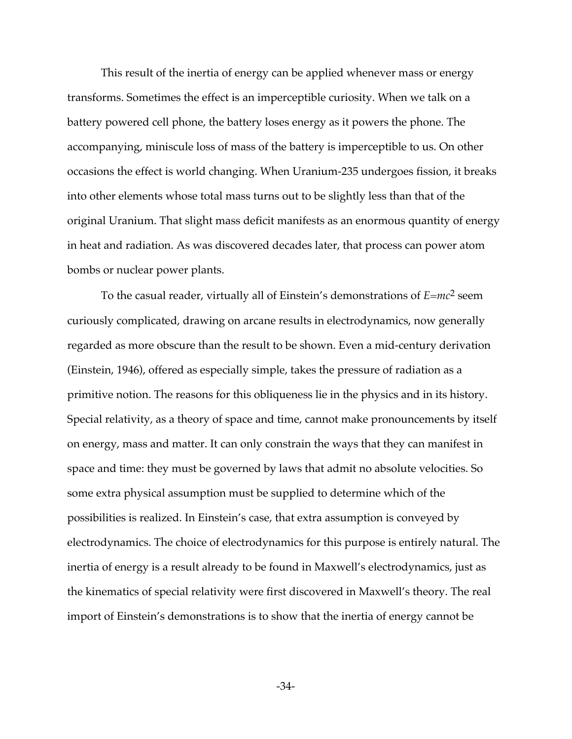This result of the inertia of energy can be applied whenever mass or energy transforms. Sometimes the effect is an imperceptible curiosity. When we talk on a battery powered cell phone, the battery loses energy as it powers the phone. The accompanying, miniscule loss of mass of the battery is imperceptible to us. On other occasions the effect is world changing. When Uranium-235 undergoes fission, it breaks into other elements whose total mass turns out to be slightly less than that of the original Uranium. That slight mass deficit manifests as an enormous quantity of energy in heat and radiation. As was discovered decades later, that process can power atom bombs or nuclear power plants.

To the casual reader, virtually all of Einstein's demonstrations of *E=mc*2 seem curiously complicated, drawing on arcane results in electrodynamics, now generally regarded as more obscure than the result to be shown. Even a mid-century derivation (Einstein, 1946), offered as especially simple, takes the pressure of radiation as a primitive notion. The reasons for this obliqueness lie in the physics and in its history. Special relativity, as a theory of space and time, cannot make pronouncements by itself on energy, mass and matter. It can only constrain the ways that they can manifest in space and time: they must be governed by laws that admit no absolute velocities. So some extra physical assumption must be supplied to determine which of the possibilities is realized. In Einstein's case, that extra assumption is conveyed by electrodynamics. The choice of electrodynamics for this purpose is entirely natural. The inertia of energy is a result already to be found in Maxwell's electrodynamics, just as the kinematics of special relativity were first discovered in Maxwell's theory. The real import of Einstein's demonstrations is to show that the inertia of energy cannot be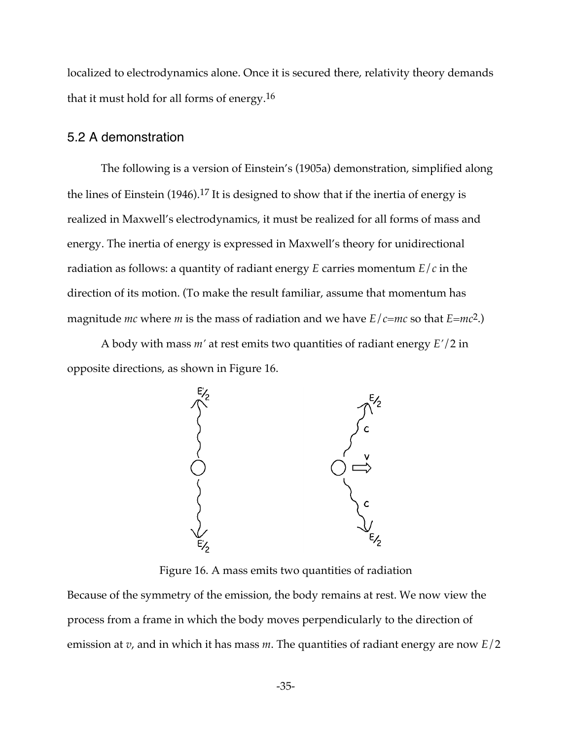localized to electrodynamics alone. Once it is secured there, relativity theory demands that it must hold for all forms of energy.16

## 5.2 A demonstration

The following is a version of Einstein's (1905a) demonstration, simplified along the lines of Einstein (1946).17 It is designed to show that if the inertia of energy is realized in Maxwell's electrodynamics, it must be realized for all forms of mass and energy. The inertia of energy is expressed in Maxwell's theory for unidirectional radiation as follows: a quantity of radiant energy *E* carries momentum *E*/*c* in the direction of its motion. (To make the result familiar, assume that momentum has magnitude *mc* where *m* is the mass of radiation and we have *E*/*c*=*mc* so that *E=mc*2.)

A body with mass *m'* at rest emits two quantities of radiant energy *E'*/2 in opposite directions, as shown in Figure 16.



Figure 16. A mass emits two quantities of radiation

Because of the symmetry of the emission, the body remains at rest. We now view the process from a frame in which the body moves perpendicularly to the direction of emission at *v*, and in which it has mass *m*. The quantities of radiant energy are now *E*/2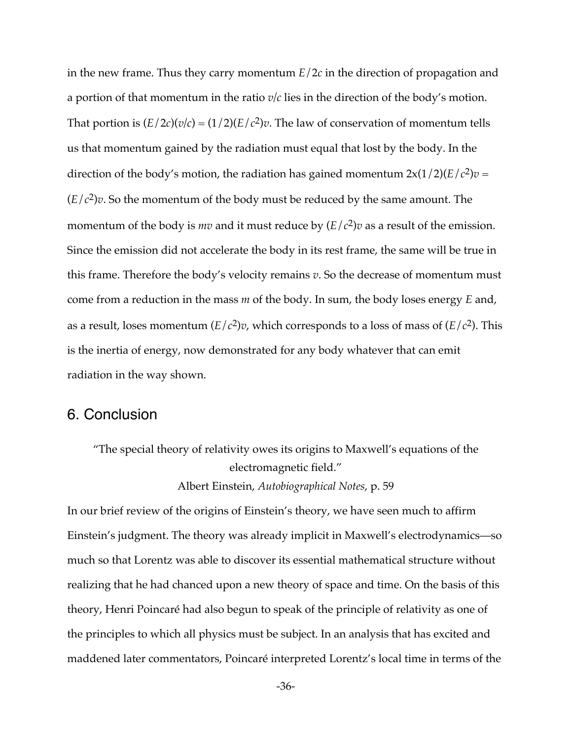in the new frame. Thus they carry momentum  $E/2c$  in the direction of propagation and a portion of that momentum in the ratio *v/c* lies in the direction of the body's motion. That portion is  $(E/2c)(v/c) = (1/2)(E/c^2)v$ . The law of conservation of momentum tells us that momentum gained by the radiation must equal that lost by the body. In the direction of the body's motion, the radiation has gained momentum  $2x(1/2)(E/c^2)v =$  $(E/c<sup>2</sup>)v$ . So the momentum of the body must be reduced by the same amount. The momentum of the body is *mv* and it must reduce by  $(E/c^2)v$  as a result of the emission. Since the emission did not accelerate the body in its rest frame, the same will be true in this frame. Therefore the body's velocity remains *v*. So the decrease of momentum must come from a reduction in the mass *m* of the body. In sum, the body loses energy *E* and, as a result, loses momentum  $(E/c^2)v$ , which corresponds to a loss of mass of  $(E/c^2)$ . This is the inertia of energy, now demonstrated for any body whatever that can emit radiation in the way shown.

## 6. Conclusion

"The special theory of relativity owes its origins to Maxwell's equations of the electromagnetic field." Albert Einstein, *Autobiographical Notes*, p. 59

In our brief review of the origins of Einstein's theory, we have seen much to affirm Einstein's judgment. The theory was already implicit in Maxwell's electrodynamics—so much so that Lorentz was able to discover its essential mathematical structure without realizing that he had chanced upon a new theory of space and time. On the basis of this theory, Henri Poincaré had also begun to speak of the principle of relativity as one of the principles to which all physics must be subject. In an analysis that has excited and maddened later commentators, Poincaré interpreted Lorentz's local time in terms of the

-36-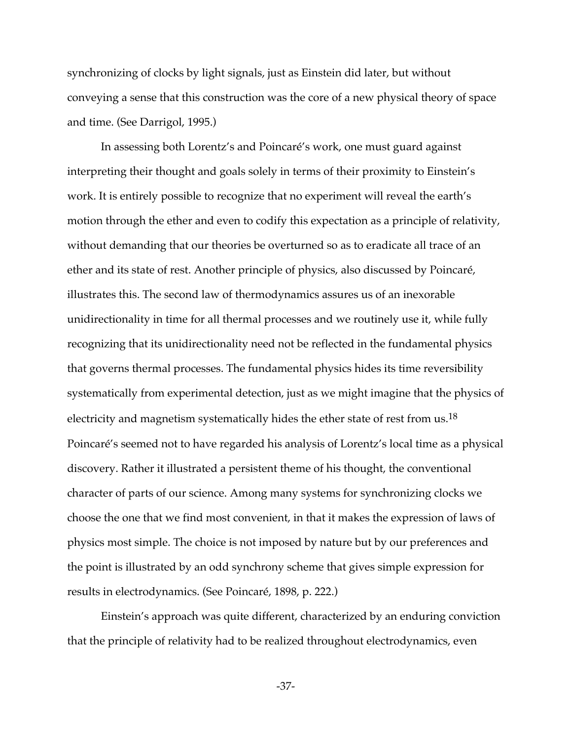synchronizing of clocks by light signals, just as Einstein did later, but without conveying a sense that this construction was the core of a new physical theory of space and time. (See Darrigol, 1995.)

In assessing both Lorentz's and Poincaré's work, one must guard against interpreting their thought and goals solely in terms of their proximity to Einstein's work. It is entirely possible to recognize that no experiment will reveal the earth's motion through the ether and even to codify this expectation as a principle of relativity, without demanding that our theories be overturned so as to eradicate all trace of an ether and its state of rest. Another principle of physics, also discussed by Poincaré, illustrates this. The second law of thermodynamics assures us of an inexorable unidirectionality in time for all thermal processes and we routinely use it, while fully recognizing that its unidirectionality need not be reflected in the fundamental physics that governs thermal processes. The fundamental physics hides its time reversibility systematically from experimental detection, just as we might imagine that the physics of electricity and magnetism systematically hides the ether state of rest from us.<sup>18</sup> Poincaré's seemed not to have regarded his analysis of Lorentz's local time as a physical discovery. Rather it illustrated a persistent theme of his thought, the conventional character of parts of our science. Among many systems for synchronizing clocks we choose the one that we find most convenient, in that it makes the expression of laws of physics most simple. The choice is not imposed by nature but by our preferences and the point is illustrated by an odd synchrony scheme that gives simple expression for results in electrodynamics. (See Poincaré, 1898, p. 222.)

Einstein's approach was quite different, characterized by an enduring conviction that the principle of relativity had to be realized throughout electrodynamics, even

-37-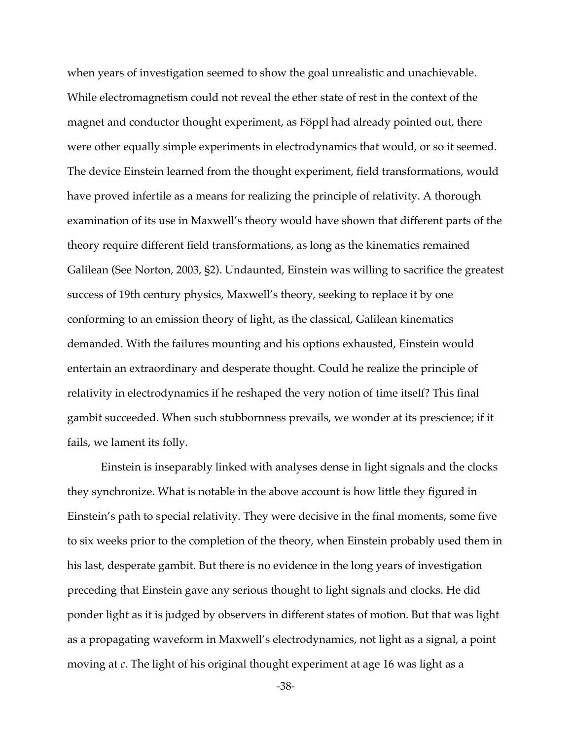when years of investigation seemed to show the goal unrealistic and unachievable. While electromagnetism could not reveal the ether state of rest in the context of the magnet and conductor thought experiment, as Föppl had already pointed out, there were other equally simple experiments in electrodynamics that would, or so it seemed. The device Einstein learned from the thought experiment, field transformations, would have proved infertile as a means for realizing the principle of relativity. A thorough examination of its use in Maxwell's theory would have shown that different parts of the theory require different field transformations, as long as the kinematics remained Galilean (See Norton, 2003, §2). Undaunted, Einstein was willing to sacrifice the greatest success of 19th century physics, Maxwell's theory, seeking to replace it by one conforming to an emission theory of light, as the classical, Galilean kinematics demanded. With the failures mounting and his options exhausted, Einstein would entertain an extraordinary and desperate thought. Could he realize the principle of relativity in electrodynamics if he reshaped the very notion of time itself? This final gambit succeeded. When such stubbornness prevails, we wonder at its prescience; if it fails, we lament its folly.

Einstein is inseparably linked with analyses dense in light signals and the clocks they synchronize. What is notable in the above account is how little they figured in Einstein's path to special relativity. They were decisive in the final moments, some five to six weeks prior to the completion of the theory, when Einstein probably used them in his last, desperate gambit. But there is no evidence in the long years of investigation preceding that Einstein gave any serious thought to light signals and clocks. He did ponder light as it is judged by observers in different states of motion. But that was light as a propagating waveform in Maxwell's electrodynamics, not light as a signal, a point moving at *c*. The light of his original thought experiment at age 16 was light as a

-38-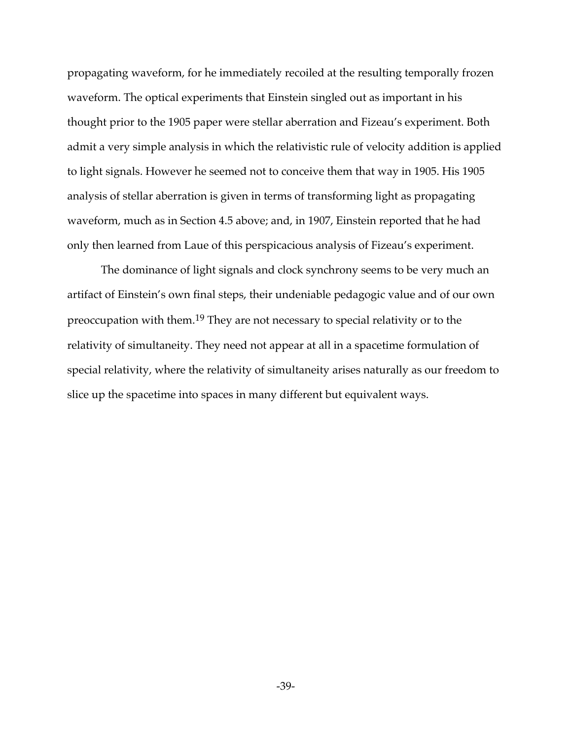propagating waveform, for he immediately recoiled at the resulting temporally frozen waveform. The optical experiments that Einstein singled out as important in his thought prior to the 1905 paper were stellar aberration and Fizeau's experiment. Both admit a very simple analysis in which the relativistic rule of velocity addition is applied to light signals. However he seemed not to conceive them that way in 1905. His 1905 analysis of stellar aberration is given in terms of transforming light as propagating waveform, much as in Section 4.5 above; and, in 1907, Einstein reported that he had only then learned from Laue of this perspicacious analysis of Fizeau's experiment.

The dominance of light signals and clock synchrony seems to be very much an artifact of Einstein's own final steps, their undeniable pedagogic value and of our own preoccupation with them.19 They are not necessary to special relativity or to the relativity of simultaneity. They need not appear at all in a spacetime formulation of special relativity, where the relativity of simultaneity arises naturally as our freedom to slice up the spacetime into spaces in many different but equivalent ways.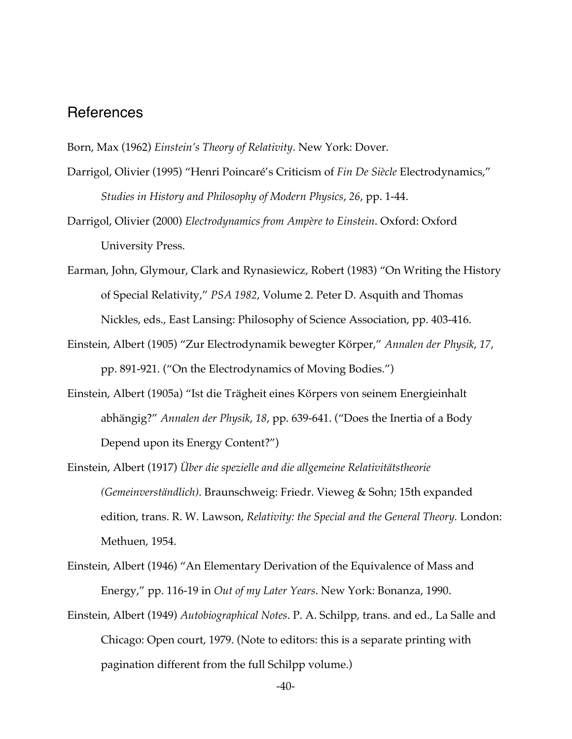## **References**

Born, Max (1962) *Einstein's Theory of Relativity*. New York: Dover.

- Darrigol, Olivier (1995) "Henri Poincaré's Criticism of *Fin De Siècle* Electrodynamics," *Studies in History and Philosophy of Modern Physics*, *26*, pp. 1-44.
- Darrigol, Olivier (2000) *Electrodynamics from Ampère to Einstein*. Oxford: Oxford University Press.
- Earman, John, Glymour, Clark and Rynasiewicz, Robert (1983) "On Writing the History of Special Relativity," *PSA 1982*, Volume 2. Peter D. Asquith and Thomas Nickles, eds., East Lansing: Philosophy of Science Association, pp. 403-416.
- Einstein, Albert (1905) "Zur Electrodynamik bewegter Körper," *Annalen der Physik*, *17*, pp. 891-921. ("On the Electrodynamics of Moving Bodies.")
- Einstein, Albert (1905a) "Ist die Trägheit eines Körpers von seinem Energieinhalt abhängig?" *Annalen der Physik*, *18*, pp. 639-641. ("Does the Inertia of a Body Depend upon its Energy Content?")
- Einstein, Albert (1917) *Über die spezielle and die allgemeine Relativitätstheorie (Gemeinverständlich)*. Braunschweig: Friedr. Vieweg & Sohn; 15th expanded edition, trans. R. W. Lawson, *Relativity: the Special and the General Theory.* London: Methuen, 1954.
- Einstein, Albert (1946) "An Elementary Derivation of the Equivalence of Mass and Energy," pp. 116-19 in *Out of my Later Years*. New York: Bonanza, 1990.
- Einstein, Albert (1949) *Autobiographical Notes*. P. A. Schilpp, trans. and ed., La Salle and Chicago: Open court, 1979. (Note to editors: this is a separate printing with pagination different from the full Schilpp volume.)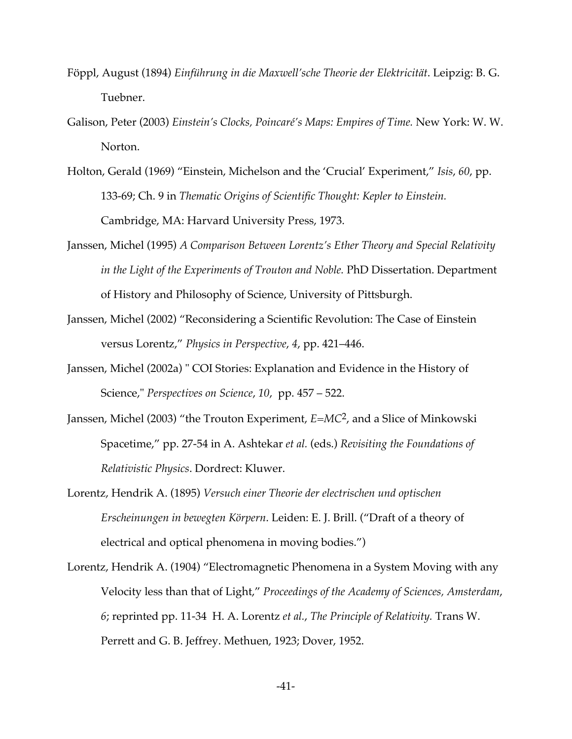- Föppl, August (1894) *Einführung in die Maxwell'sche Theorie der Elektricität*. Leipzig: B. G. Tuebner.
- Galison, Peter (2003) *Einstein's Clocks, Poincaré's Maps: Empires of Time.* New York: W. W. Norton.
- Holton, Gerald (1969) "Einstein, Michelson and the 'Crucial' Experiment," *Isis*, *60*, pp. 133-69; Ch. 9 in *Thematic Origins of Scientific Thought: Kepler to Einstein.* Cambridge, MA: Harvard University Press, 1973.
- Janssen, Michel (1995) *A Comparison Between Lorentz's Ether Theory and Special Relativity in the Light of the Experiments of Trouton and Noble.* PhD Dissertation. Department of History and Philosophy of Science, University of Pittsburgh.
- Janssen, Michel (2002) "Reconsidering a Scientific Revolution: The Case of Einstein versus Lorentz," *Physics in Perspective*, *4*, pp. 421–446.
- Janssen, Michel (2002a) " COI Stories: Explanation and Evidence in the History of Science," *Perspectives on Science*, *10*, pp. 457 – 522.
- Janssen, Michel (2003) "the Trouton Experiment, *E=MC*2, and a Slice of Minkowski Spacetime," pp. 27-54 in A. Ashtekar *et al.* (eds.) *Revisiting the Foundations of Relativistic Physics*. Dordrect: Kluwer.
- Lorentz, Hendrik A. (1895) *Versuch einer Theorie der electrischen und optischen Erscheinungen in bewegten Körpern*. Leiden: E. J. Brill. ("Draft of a theory of electrical and optical phenomena in moving bodies.")
- Lorentz, Hendrik A. (1904) "Electromagnetic Phenomena in a System Moving with any Velocity less than that of Light," *Proceedings of the Academy of Sciences, Amsterdam*, *6*; reprinted pp. 11-34 H. A. Lorentz *et al.*, *The Principle of Relativity.* Trans W. Perrett and G. B. Jeffrey. Methuen, 1923; Dover, 1952.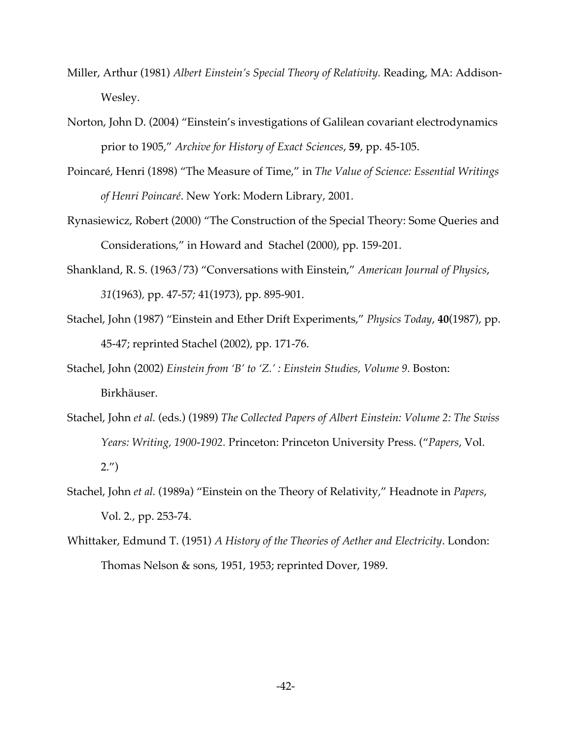- Miller, Arthur (1981) *Albert Einstein's Special Theory of Relativity.* Reading, MA: Addison-Wesley.
- Norton, John D. (2004) "Einstein's investigations of Galilean covariant electrodynamics prior to 1905," *Archive for History of Exact Sciences*, **59**, pp. 45-105.
- Poincaré, Henri (1898) "The Measure of Time," in *The Value of Science: Essential Writings of Henri Poincaré*. New York: Modern Library, 2001.
- Rynasiewicz, Robert (2000) "The Construction of the Special Theory: Some Queries and Considerations," in Howard and Stachel (2000), pp. 159-201.
- Shankland, R. S. (1963/73) "Conversations with Einstein," *American Journal of Physics*, *31*(1963)*,* pp. 47-57*;* 41(1973), pp. 895-901.
- Stachel, John (1987) "Einstein and Ether Drift Experiments," *Physics Today*, **40**(1987), pp. 45-47; reprinted Stachel (2002), pp. 171-76.
- Stachel, John (2002) *Einstein from 'B' to 'Z.' : Einstein Studies, Volume 9.* Boston: Birkhäuser.
- Stachel, John *et al.* (eds.) (1989) *The Collected Papers of Albert Einstein: Volume 2: The Swiss Years: Writing, 1900-1902.* Princeton: Princeton University Press. ("*Papers*, Vol.  $2."$ )
- Stachel, John *et al.* (1989a) "Einstein on the Theory of Relativity," Headnote in *Papers*, Vol. 2*.*, pp. 253-74.
- Whittaker, Edmund T. (1951) *A History of the Theories of Aether and Electricity*. London: Thomas Nelson & sons, 1951, 1953; reprinted Dover, 1989.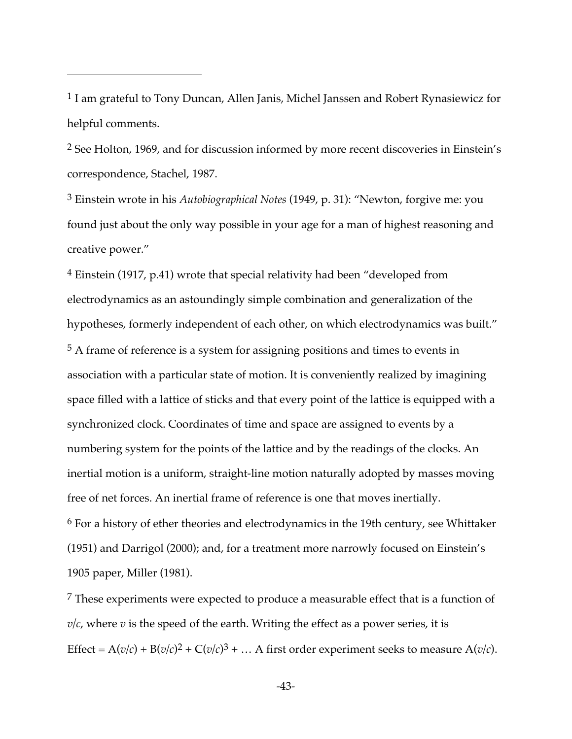<sup>1</sup> I am grateful to Tony Duncan, Allen Janis, Michel Janssen and Robert Rynasiewicz for helpful comments.

 $\overline{a}$ 

2 See Holton, 1969, and for discussion informed by more recent discoveries in Einstein's correspondence, Stachel, 1987.

3 Einstein wrote in his *Autobiographical Notes* (1949, p. 31): "Newton, forgive me: you found just about the only way possible in your age for a man of highest reasoning and creative power."

4 Einstein (1917, p.41) wrote that special relativity had been "developed from electrodynamics as an astoundingly simple combination and generalization of the hypotheses, formerly independent of each other, on which electrodynamics was built." 5 A frame of reference is a system for assigning positions and times to events in association with a particular state of motion. It is conveniently realized by imagining space filled with a lattice of sticks and that every point of the lattice is equipped with a synchronized clock. Coordinates of time and space are assigned to events by a numbering system for the points of the lattice and by the readings of the clocks. An inertial motion is a uniform, straight-line motion naturally adopted by masses moving free of net forces. An inertial frame of reference is one that moves inertially. 6 For a history of ether theories and electrodynamics in the 19th century, see Whittaker (1951) and Darrigol (2000); and, for a treatment more narrowly focused on Einstein's 1905 paper, Miller (1981).

<sup>7</sup> These experiments were expected to produce a measurable effect that is a function of *v/c*, where *v* is the speed of the earth. Writing the effect as a power series, it is Effect =  $A(v/c) + B(v/c)^2 + C(v/c)^3 + ...$  A first order experiment seeks to measure  $A(v/c)$ .

-43-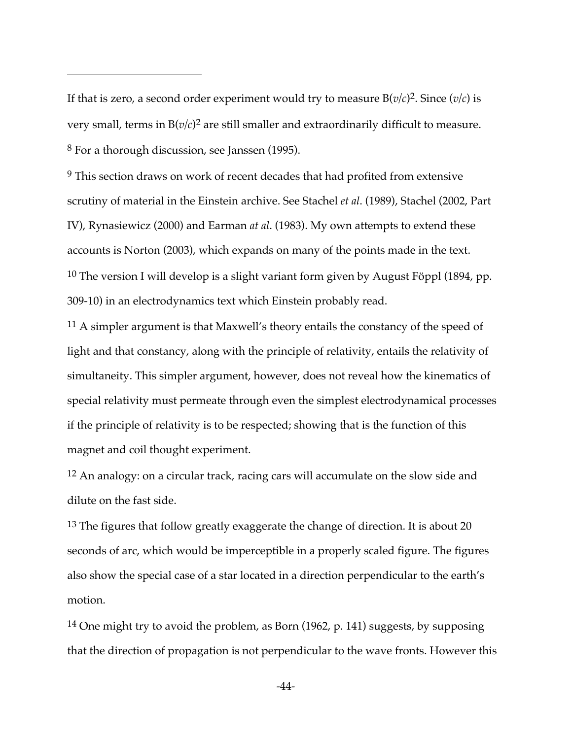If that is zero, a second order experiment would try to measure  $B(v/c)^2$ . Since  $(v/c)$  is very small, terms in  $B(v/c)^2$  are still smaller and extraordinarily difficult to measure. 8 For a thorough discussion, see Janssen (1995).

 $\overline{a}$ 

<sup>9</sup> This section draws on work of recent decades that had profited from extensive scrutiny of material in the Einstein archive. See Stachel *et al*. (1989), Stachel (2002, Part IV), Rynasiewicz (2000) and Earman *at al*. (1983). My own attempts to extend these accounts is Norton (2003), which expands on many of the points made in the text. <sup>10</sup> The version I will develop is a slight variant form given by August Föppl (1894, pp. 309-10) in an electrodynamics text which Einstein probably read.

<sup>11</sup> A simpler argument is that Maxwell's theory entails the constancy of the speed of light and that constancy, along with the principle of relativity, entails the relativity of simultaneity. This simpler argument, however, does not reveal how the kinematics of special relativity must permeate through even the simplest electrodynamical processes if the principle of relativity is to be respected; showing that is the function of this magnet and coil thought experiment.

12 An analogy: on a circular track, racing cars will accumulate on the slow side and dilute on the fast side.

<sup>13</sup> The figures that follow greatly exaggerate the change of direction. It is about 20 seconds of arc, which would be imperceptible in a properly scaled figure. The figures also show the special case of a star located in a direction perpendicular to the earth's motion.

<sup>14</sup> One might try to avoid the problem, as Born (1962, p. 141) suggests, by supposing that the direction of propagation is not perpendicular to the wave fronts. However this

-44-